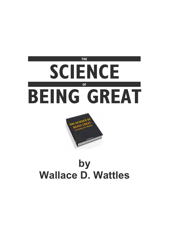



# **by Wallace D. Wattles**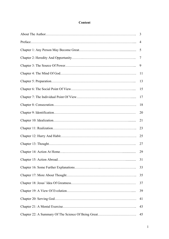### **Content**

| 3  |
|----|
| 4  |
| 5  |
| 7  |
| 9  |
| 11 |
| 13 |
| 15 |
| 17 |
| 18 |
| 20 |
| 21 |
| 23 |
| 25 |
| 27 |
| 29 |
| 31 |
| 33 |
| 35 |
| 37 |
| 39 |
| 41 |
| 43 |
| 45 |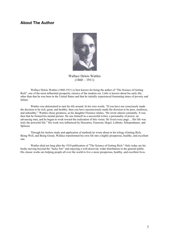### **About The Author**



Wallace Delois Wattles  $(1860 - 1911)$ 

Wallace Delois Wattles (1860-1911) is best known for being the author of "The Science of Getting Rich", one of the most influential prosperity classics of the modern era. Little is known about his early life, other than that he was born in the United States and that he initially experienced frustrating times of poverty and failure.

Wattles was determined to turn his life around. In his own words, "If you have not consciously made the decision to be rich, great, and healthy, then you have unconsciously made the decision to be poor, mediocre, and unhealthy." Wattles chose greatness, as his daughter Florence relates, "He wrote almost constantly. It was then that he formed his mental picture. He saw himself as a successful writer, a personality of power, an advancing man, and he began to work toward the realization of this vision. He lived every page ... His life was truly the powerful life." His work was influenced by Descartes, Emerson, Hegel, Leibnitz, Schopenhauer, and Spinoza.

Through his tireless study and application of methods he wrote about in his trilogy (Getting Rich, Being Well, and Being Great), Wallace transformed his own life into a highly prosperous, healthy, and excellent one.

Wattles died not long after the 1910 publication of "The Science of Getting Rich." Only today are his books moving beyond the "lucky few" and enjoying a well deserved, wider distribution to the general public. His classic works are helping people all over the world to live a more prosperous, healthy, and excellent lives.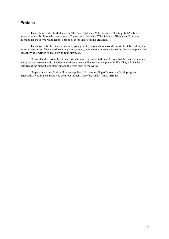### **Preface**

This volume is the third of a series. The first of which is "The Science of Getting Rich", a book intended solely for those who want money. The second of which is "The Science of Being Well", a book intended for those who want health. This book is for those seeking greatness.

This book is for the men and women, young or old, who wish to make the most of life by making the most of themselves. I have tried to show plainly, simply, and without unnecessary words, the way to power and capability. It is written so that he who runs may read.

I know that the system herein set forth will work: it cannot fail. And I know that the men and women who practice these methods of action with sincere heats will enter into the powerful life. They will be the children of the highest, and stand among the great ones of the world.

I hope you who read this will be among them. No mere reading of books can develop a great personality. Nothing can make you great but thought: therefore think, Think, THINK!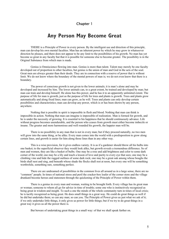### **Any Person May Become Great**

THERE is a Principle of Power in every person. By the intelligent use and direction of this principle, man can develop his own mental faculties. Man has an inherent power by which he may grow in whatsoever direction he pleases, and there does not appear to be any limit to the possibilities of his growth. No man has yet become so great in any faculty but that it is possible for someone else to become greater. The possibility is in the Original Substance from which man is made.

Genius is Omniscience flowing into man. Genius is more than talent. Talent may merely be one faculty developed out of proportion to other faculties, but genius is the union of man and God in the acts of the soul. Great men are always greater than their deeds. They are in connection with a reserve of power that is without limit. We do not know where the boundary of the mental powers of man is; we do not even know that there is a boundary.

The power of conscious growth is not given to the lower animals; it is man's alone and may be developed and increased by him. The lower animals can, to a great extent, be trained and developed by man; but man can train and develop himself. He alone has this power, and he has it to an apparently unlimited extent. The purpose of life for man is growth, just as the purpose of life for trees and plants is growth. Trees and plants grow automatically and along fixed lines; man can grow, as he will. Trees and plants can only develop certain possibilities and characteristics; man can develop any power, which is or has been shown by any person, anywhere.

Nothing that is possible in spirit is impossible in flesh and blood. Nothing that man can think is impossible-in action. Nothing that man can imagine is impossible of realization. Man is formed for growth, and he is under the necessity of growing. It is essential to his happiness that he should continuously advance. Life without progress becomes unendurable, and the person who ceases from growth must either become imbecile or insane. The greater and more harmonious and well rounded his growth, the happier man will be.

There is no possibility in any man that is not in every man; but if they proceed naturally, no two men will grow into the same thing, or be alike. Every man comes into the world with a predisposition to grow along certain lines, and growth is easier for him along those lines than in any other way.

This is a wise provision, for it gives endless variety. It is as if a gardener should throw all his bulbs into one basket; to the superficial observer they would look alike, but growth reveals a tremendous difference. So of men and women, they are like a basket of bulbs. One may be a rose and add brightness and color to some dark corner of the world; one may be a lily and teach a lesson of love and purity to every eye that sees; one may be a climbing vine and hide the rugged outlines of some dark rock; one may be a great oak among whose boughs the birds shall nest and sing, and beneath whose shade the flocks shall rest at noon, but every one will be something worthwhile, something rare, something perfect.

There ere are undreamed of possibilities in the common lives all around us in a large sense, there are no "common" people. In times of national stress and peril the cracker-box loafer of the corner store and the village drunkard become heroes and statesmen through the quickening of the Principle of Power within them.

There is a genius in every man and woman, waiting to be brought forth. Every village has its great man or woman; someone to whom all go for advice in time of trouble; some one who is instinctively recognized as being great in wisdom and insight. To such a one the minds of the whole community turn in times of local crisis; he is tacitly recognized as being great. He does small things in a great way. He could do great things as well if he did but undertake them; so can any man; so can you. The Principle of Power gives us just what we ask of it; if we only undertake little things, it only gives us power for little things; but if we try to do great things in a great way it gives us all the power there is.

But beware of undertaking great things in a small way: of that we shall speak farther on.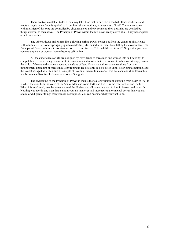There are two mental attitudes a man may take. One makes him like a football. It has resilience and reacts strongly when force is applied to it, but it originates nothing; it never acts of itself. There is no power within it. Men of this type are controlled by circumstances and environment, their destinies are decided by things external to themselves. The Principle of Power within them is never really active at all. They never speak or act from within.

The other attitude makes man like a flowing spring. Power comes out from the center of him. He has within him a well of water springing up into everlasting life, he radiates force; heist felt by his environment. The Principle of Power in him is in constant action. He is self-active. "He hath life in himself." No greater good can come to any man or woman than to become self-active.

All the experiences of life are designed by Providence to force men and women into self-activity; to compel them to cease being creatures of circumstances and master their environment. In his lowest stage, man is the child of chance and circumstance and the slave of fear. His acts are all reactions resulting from the impingement upon him of forces in his environment. He acts only as he is acted upon; he originates nothing. But the lowest savage has within him a Principle of Power sufficient to master all that he fears; and if he learns this and becomes self-active, he becomes as one of the gods.

The awakening of the Principle of Power in man is the real conversion; the passing from death to life. It is when the dead hear the voice of the Son of Man and come forth and live. It is the resurrection and the life. When it is awakened, man becomes a son of the Highest and all power is given to him in heaven and on earth. Nothing was ever in any man that is not in you; no man ever had more spiritual or mental power than you can attain, or did greater things than you can accomplish. You can become what you want to be.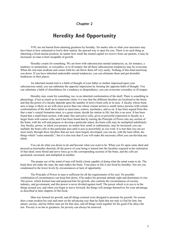### **Heredity And Opportunity**

YOU are not barred from attaining greatness by heredity. No matter who or what your ancestors may have been or how unlearned or lowly their station, the upward way is open for you. There is no such thing as inheriting a fixed mental position; no matter how small the mental capital we receive from our parents, it may be increased; no man is born incapable of growth.

Heredity counts for something. We are born with subconscious mental tendencies; as, for instance, a tendency to melancholy, or cowardice, or to ill temper; but all these subconscious tendencies may be overcome. When the real man awakens and comes forth he can throw them off very easily. Nothing of this kind need keep you down. If you have inherited undesirable mental tendencies, you can eliminate them and put desirable tendencies in their places.

An inherited mental trait is a habit of thought of your father or mother impressed upon your subconscious mind; you can substitute the opposite impression by forming the opposite habit of thought. You can substitute a habit of cheerfulness for a tendency to despondency; you can overcome cowardice or ill temper.

Heredity may count for something, too, in an inherited conformation of the skull. There is something in phrenology, if not as much as its exponents claim; it is true that the different faculties are localized in the brain, and that the power of a faculty depends upon the number of active brain cells in its area. A faculty whose brain area is large is likely to act with more power than one whose cranial section is small; hence persons with certain conformations of the skull show talent as musicians, orators, mechanics, and so on. It has been argued from this that a man's cranial formation must, to a great extent, decide his station in life, but this is an error. It has been found that a small brain section, with many fine and active cells, gives as powerful expression to faculty as a larger brain with coarser cells; and it has been found that by turning the Principle of Power into any section of the brain, with the will and purpose to develop a particular talent, the brain cells may be multiplied indefinitely. Any faculty, power, or talent you possess, no matter how small or rudimentary, may be increased; you can multiply the brain cells in this particular area until it acts as powerfully as you wish. It is true that you can act most easily through those faculties that are now most largely developed; you can do, with the least effort, the things which "come naturally"; but it is also true that if you will make the necessary effort you can develop any talent.

You can do what you desire to do and become what you want to be. When you fix upon some ideal and proceed as hereinafter directed, all the power of your being is turned into the faculties required in the realization of that ideal; more blood and nerve force go to the corresponding sections of the brain, and the cells are quickened, increased, and multiplied in number.

The proper use of the mind of man will build a brain capable of doing what the mind wants to do. The brain does not make the man; the man makes the brain. Your place in life is not fixed by heredity. Nor are you condemned to the lower levels by circumstances or lack of opportunity.

The Principle of Power in man is sufficient for all the requirements of his soul. No possible combination of circumstances can keep him down, if he makes his personal attitude right and determines to rise. The power, which formed man and purposed him for growth, also controls the circumstances of society, industry, and government; and this power is never divided against itself. The power which is in you is in the things around you, and when you begin to move forward, the things will arrange themselves for your advantage, as described in later chapters of this book.

Man was formed for growth, and all things external were designed to promote his growth. No sooner does a man awaken his soul and enter on the advancing way than he finds that not only is God for him, but nature, society, and his fellow men are for him also; and all things work together for his good if he obeys the law. Poverty is no bar to greatness, for poverty can always be removed.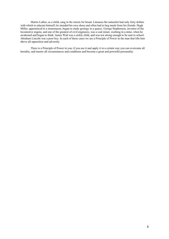Martin Luther, as a child, sang in the streets for bread. Linnaeus the naturalist had only forty dollars with which to educate himself; he mended his own shoes and often had to beg meals from his friends. Hugh Miller, apprenticed to a stonemason, began to study geology in a quarry. George Stephenson, inventor of the locomotive engine, and one of the greatest of civil engineers, was a coal miner, working in a mine, when he awakened and began to think. James Watt was a sickly child, and was not strong enough to be sent to school. Abraham Lincoln was a poor boy. In each of these cases we see a Principle of Power in the man that lifts him above all opposition and adversity.

There is a Principle of Power in you; if you use it and apply it in a certain way you can overcome all heredity, and master all circumstances and conditions and become a great and powerful personality.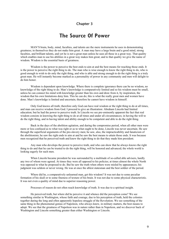### **The Source Of Power**

MAN'S brain, body, mind, faculties, and talents are the mere instruments he uses in demonstrating greatness; in themselves they do not make him great. A man may have a large brain and a good mind, strong faculties, and brilliant talents, and yet he is not a great man unless he uses all these in a great way. That quality which enables man to use his abilities in a great way makes him great; and to that quality we give the name of wisdom. Wisdom is the essential basis of greatness.

Wisdom is the power to perceive the best ends to aim at and the best means for reaching those ends. It is the power to perceive the right thing to do. The man who is wise enough to know the right thing to do, who is good enough to wish to do only the right thing, and who is able and strong enough to do the right thing is a truly great man. He will instantly become marked as a personality of power in any community and men will delight to do him honor.

Wisdom is dependent upon knowledge. Where there is complete ignorance there can be no wisdom, no knowledge of the right thing to do. Man's knowledge is comparatively limited and so his wisdom must be small, unless he can connect his mind with knowledge greater than his own and draw from it, by inspiration, the wisdom that his own limitations deny him. This he can do; this is what the really great men and women have done. Man's knowledge is limited and uncertain; therefore he cannot have wisdom in himself.

Only God knows all truth; therefore only God can have real wisdom or the right thing to do at all times, and man can receive wisdom from God. I proceed to give an illustration: Abraham Lincoln had limited education; but he had the power to perceive truth. In Lincoln we see pre-eminently apparent the fact that real wisdom consists in knowing the right thing to do at all times and under all circumstances; in having the will to do the right thing, and in having talent and ability enough to be competent and able to do the right thing.

Back in the days of the abolition agitation, and during the compromise period, when all other men were more or less confused as to what was right or as to what ought to be done, Lincoln was never uncertain. He saw through the superficial arguments of the pro-slavery men; he saw, also, the impracticability and fanaticism of the abolitionists; he saw the right ends to aim at and he saw the best means to attain those ends. It was because men recognized that he perceived truth and knew the right thing to do that they made him president.

Any man who develops the power to perceive truth, and who can show that he always knows the right thing to do and that he can be trusted to do the right thing, will be honored and advanced; the whole world is looking eagerly for such men.

When Lincoln became president he was surrounded by a multitude of so-called able advisers, hardly any two of whom were agreed. At times they were all opposed to his policies; at times almost the whole North was opposed to what he proposed to do. But he saw the truth when others were misled by appearances; his judgment was seldom or never wrong. He was at once the ablest statesman and the best soldier of the period.

Where did he, a comparatively unlearned man, get this wisdom? It was not due to some peculiar formation of his skull or to some fineness of texture of his brain. It was not due to some physical characteristic. It was not even a quality of mind due to superior reasoning power.

Processes of reason do not often reach knowledge of truth. It was due to a spiritual insight.

He perceived truth, but where did he perceive it and whence did the perception come? We see something similar in Washington, whose faith and courage, due to his perception of truth, held the colonies together during the long and often apparently hopeless struggle of the Revolution. We see something of the same thing in the phenomenal genius of Napoleon, who always knew, in military matters, the best means to adopt. We see that the greatness of Napoleon was in nature rather than in Napoleon, and we discover back of Washington and Lincoln something greater than either Washington or Lincoln.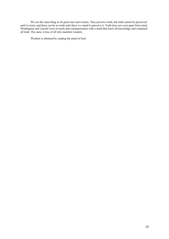We see the same thing in all great men and women. They perceive truth; but truth cannot be perceived until it exists; and there can be no truth until there is a mind to perceive it. Truth does not exist apart from mind. Washington and Lincoln were in touch and communication with a mind that knew all knowledge and contained all truth. The same is true of all who manifest wisdom.

Wisdom is obtained by reading the mind of God.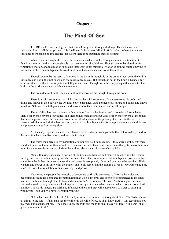### **The Mind Of God**

THERE is a Cosmic Intelligence that is in all things and through all things. This is the one real substance. From it all things proceed. It is Intelligent Substance or Mind Stuff. It is God. Where there is no substance there can be no intelligence; for where there is no substance there is nothing.

Where there is thought there must be a substance which thinks. Thought cannot be a function; for function is motion, and it is inconceivable that mere motion should think. Thought cannot be vibration, for vibration is motion, and that motion should be intelligent is not thinkable. Motion is nothing but the moving of substance; if there be intelligence shown it must be in the substance and not in the motion.

Thought cannot be the result of motions in the brain; if thought is in the brain it must be in the brain's substance and not in the motions which brain substance makes. But thought is not in the brain substance, for brain substance, without life, is quite unintelligent and dead. Thought is in the life-principle that animates the brain, in the spirit substance, which is the real man.

The brain does not think, the man thinks and expresses his thought through the brain.

There is a spirit substance that thinks. Just as the spirit substance of man permeates his body, and thinks and knows in the body, so the Original Spirit Substance, God, permeates all nature and thinks and knows in nature. Nature is as intelligent as man, and knows more than man; nature knows all things.

The All-Mind has been in touch with all things from the beginning; and it contains all knowledge. Man's experience covers a few things, and these things man knows; but God's experience covers all the things that have happened since the creation, from the wreck of a planet or the passing of a comet to the fall of a sparrow. All that is and all that has been are present in the Intelligence that is wrapped about us and enfolds us and presses upon us from every side.

All the encyclopedias men have written are but trivial affairs compared to the vast knowledge held by the mind in which men live, move, and have their being.

The truths men perceive by inspiration are thoughts held in this mind. If they were not thoughts men could not perceive them, for they would have no existence; and they could not exist as thoughts unless there is a mind for them to exist in; and a mind can be nothing else than a substance which thinks.

Man is thinking substance, a portion of the Cosmic Substance; but man is limited, while the Cosmic Intelligence from which he sprang, which Jesus calls the Father, is unlimited. All intelligence, power, and force come from the Father. Jesus recognized this and stated it very plainly. Over and over again he ascribed all his wisdom and power to his unity with the Father, and to his perceiving the thoughts of God. "My Father and I are one." This was the foundation of his knowledge and power.

He showed the people the necessity of becoming spiritually awakened; of hearing his voice and becoming like him. He compared the unthinking man who is the prey and sport of circumstances to the dead man in a tomb, and besought him to hear and come forth. "God is spirit," he said; "be born again, become spiritually awake, and you may see his kingdom. Hear my voice; see what I am and what I do, and come forth and live. The words I speak are spirit and life; accept them and they will cause a well of water to spring up within you. Then you will have life within yourself."

"I do what I see the Father do," he said, meaning that he read the thoughts of God. "The Father shows all things to the son." "If any man has the will to do the will of God, he shall know truth." "My teaching is not my own, but his that sent me." "You shall know the truth and the truth shall make you free." "The spirit shall guide you into all truth."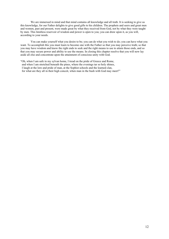We are immersed in mind and that mind contains all knowledge and all truth. It is seeking to give us this knowledge, for our Father delights to give good gifts to his children. The prophets and seers and great men and women, past and present, were made great by what they received from God, not by what they were taught by men. This limitless reservoir of wisdom and power is open to you; you can draw upon it, as you will, according to your needs.

You can make yourself what you desire to be; you can do what you wish to do; you can have what you want. To accomplish this you must learn to become one with the Father so that you may perceive truth; so that you may have wisdom and know the right ends to seek and the right means to use to attain those ends, and so that you may secure power and ability to use the means. In closing this chapter resolve that you will now lay aside all else and concentrate upon the attainment of conscious unity with God.

"Oh, when I am safe in my sylvan home, I tread on the pride of Greece and Rome, and when I am stretched beneath the pines, where the evenings tar so holy shines, I laugh at the lore and pride of man, at the Sophist schools and the learned clan, for what are they all in their high conceit, when man in the bush with God may meet?"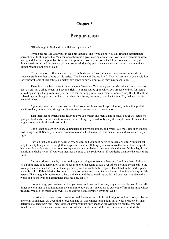### **Preparation**

"DRAW nigh to God and He will draw nigh to you."

If you become like God you can read his thoughts; and if you do not you will find the inspirational perception of truth impossible. You can never become a great man or woman until you have overcome anxiety, worry, and fear. It is impossible for an anxious person, a worried one, or a fearful one to perceive truth; all things are distorted and thrown out of their proper relations by such mental states, and those who are in them cannot read the thoughts of God.

If you are poor, or if you are anxious about business or financial matters, you are recommended to study carefully the first volume of this series, "The Science of Getting Rich". That will present to you a solution for your problems of this nature, no matter how large or how complicated they may seem to be.

There is not the least cause for worry about financial affairs; every person who wills to do so may rise above want, have all he needs, and become rich. The same source upon which you propose to draw for mental unfolding and spiritual power is at your service for the supply of all your material wants. Study this truth until it is fixed in your thoughts and until anxiety is banished from your mind; enter the Certain Way, which leads to material riches.

Again, if you are anxious or worried about your health, realize it is possible for you to attain perfect health so that you may have strength sufficient for all that you wish to do and more.

That Intelligence which stands ready to give you wealth and mental and spiritual power will rejoice to give you health also. Perfect health is yours for the asking, if you will only obey the simple laws of life and live aright. Conquer ill health and cast out fear.

But it is not enough to rise above financial and physical anxiety and worry; you must rise above moral evil-doing as well. Sound your inner consciousness now for the motives that actuate you and make sure they are right.

Cast out lust, and cease to be ruled by appetite, and you must begin to govern appetite. You must eat only to satisfy hunger, never for gluttonous pleasure, and in all things you must make the flesh obey the spirit. You must lay aside greed; have no unworthy motive in your desire to become rich and powerful. It is legitimate and right to desire riches, if you want them for the sake of the soul, but not if you desire them for the lusts of the flesh.

Cast out pride and vanity; have no thought of trying to rule over others or of outdoing them. This is a vital point; there is no temptation so insidious as the selfish desire to rule over others. Nothing so appeals to the average man or woman as to sit in the uppermost places at feasts, to be respectfully saluted in the market place, and to be called Rabbi, Master. To exercise some sort of control over others is the secret motive of every selfish person. The struggle for power over others is the battle of the competitive world, and you must rise above that world and its motives and aspirations and seek only for life.

Cast out envy; you can have all that you want, and you need not envy any man what he has. Above all things see to it that you do not hold malice or enmity toward any one; to do so cuts you off from the mind whose treasures you seek to make your own. "He that loves not his brother, loves not God."

Lay aside all narrow personal ambition and determine to seek the highest good and to be swayed by no unworthy selfishness. Go over all the foregoing and set these moral temptations out of your heart one by one; determine to keep them out. Then resolve that you will not only abandon all evil thought but that you will forsake all deeds, habits, and courses of action which do not commend themselves to your noblest ideals.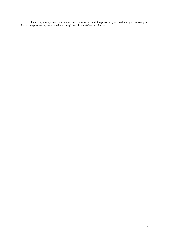This is supremely important, make this resolution with all the power of your soul, and you are ready for the next step toward greatness, which is explained in the following chapter.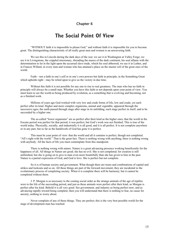### **The Social Point Of View**

"WITHOUT faith it is impossible to please God," and without faith it is impossible for you to become great. The distinguishing characteristic of all really great men and women is an unwavering faith.

We see this in Lincoln during the dark days of the war; we see it in Washington at Valley Forge; we see it in Livingstone, the crippled missionary, threading the mazes of the dark continent, his soul aflame with the determination to let in the light upon the accursed slave trade, which his soul abhorred; we see it in Luther, and in Frances Willard, in every man and woman who has attained a place on the muster roll of the great ones of the world.

Faith—not a faith in one's self or in one's own powers but faith in principle; in the Something Great which upholds right—may be relied upon to give us the victory in due time.

Without this faith it is not possible for any one to rise to real greatness. The man who has no faith in principle will always be a small man. Whether you have this faith or not depends upon your point of view. You must learn to see the world as being produced by evolution, as a something that is evolving and becoming, not as a finished work.

Millions of years ago God worked with very low and crude forms of life, low and crude, yet each perfect after its kind. Higher and more complex organisms, animal and vegetable, appeared through the successive ages; the earth passed through stage after stage in its unfolding, each stage perfect in itself, and to be succeeded by a higher one.

The so-called "lower organisms" are as perfect after their kind as the higher ones; that the world in the Eocene period was perfect for that period; it was perfect, but God's work was not finished. This is true of the world today. Physically, socially, and industrially it is all good, and it is all perfect. It is not complete anywhere or in any part, but so far as the handiwork of God has gone it is perfect.

This must be your point of view: that the world and all it contains is perfect, though not completed. "All's right with the world." That is the great fact. There is nothing wrong with anything; there is nothing wrong with anybody. All the facts of life you must contemplate from this standpoint.

There is nothing wrong with nature. Nature is a great advancing presence working beneficently for the happiness of all. All things in Nature are good; she has no evil. She is not completed; for creation is still unfinished, but she is going on to give to man even more bountifully than she has given to him in the past. Nature is a partial expression of God, and God is love. She is perfect but not complete.

So it is of human society and government. What though there are trusts and combinations of capital and strikes and lockouts and so on. All these things are part of the forward movement; they are incidental to the evolutionary process of completing society. When it is complete there will be harmony; but it cannot be completed without them.

J. P. Morgan is as necessary to the coming social order as the strange animals of the age of reptiles were to the life of the succeeding period, and just as these animals were perfect after their kind, so Morgan is perfect after his kind. Behold it is all very good. See government, and industry as being perfect now, and as advancing rapidly toward being complete; then you will understand that there is nothing to fear, no cause for anxiety, nothing to worry about.

Never complain of any of these things. They are perfect; this is the very best possible world for the stage of development man has reached.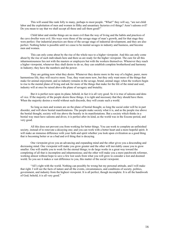This will sound like rank folly to many, perhaps to most people. "What!" they will say, "are not child labor and the exploitation of men and women in filthy and unsanitary factories evil things? Aren't saloons evil? Do you mean to say that we shall accept all these and call them good?"

Child labor and similar things are no more evil than the way of living and the habits and practices of the cave dweller were evil. His ways were those of the savage stage of man's growth, and for that stage they were perfect. Our industrial practices are those of the savage stage of industrial development, and they are also perfect. Nothing better is possible until we cease to be mental savages in industry and business, and become men and women.

This can only come about by the rise of the whole race to a higher viewpoint. And this can only come about by the rise of such individuals here and there as are ready for the higher viewpoint. The cure for all this inharmoniousness lies not with the masters or employers but with the workers themselves. Whenever they reach a higher viewpoint, whenever they shall desire to do so, they can establish complete brotherhood and harmony in Industry; they have the numbers and the power.

They are getting now what they desire. Whenever they desire more in the way of a higher, purer, more harmonious life, they will receive more. True, they want more now, but they only want more of the things that make for animal enjoyment, and so industry remains in the savage, brutal, animal stage; when the workers begin to rise to the mental plane of living and ask for more of the things that make for the life of the mind and soul, industry will at once be raised above the plane of savagery and brutality.

But it is perfect now upon its plane, behold, in fact it is all very good. So it is true of saloons and dens of vice. If the majority of the people desire these things, it is right and necessary that they should have them. When the majority desires a world without such discords, they will create such a world.

So long as men and women are on the plane of bestial thought, so long the social order will be in part disorder, and will show bestial manifestations. The people make society what it is, and as the people rise above the bestial thought, society will rise above the beastly in its manifestations. But a society which thinks in a bestial way must have saloons and dives; it is perfect after its kind, as the world was in the Eocene period, and very good.

All this does not prevent you from working for better things. You can work to complete an unfinished society, instead of to renovate a decaying one; and you can work with a better heart and a more hopeful spirit. It will make an immense difference with your faith and spirit whether you look upon civilization as a good thing that is becoming better or as a bad and evil thing that is decaying.

One viewpoint gives you an advancing and expanding mind and the other gives you a descending and decreasing mind. One viewpoint will make you grow greater and the other will inevitably cause you to grow smaller. One will enable you to work for the eternal things; to do large works in a great way toward the completing of all that is incomplete and inharmonious; and the other will make you a mere patchwork reformer, working almost without hope to save a few lost souls from what you will grow to consider a lost and doomed world. So you see it makes a vast difference to you, this matter of the social viewpoint.

"All's right with the world. Nothing can possibly be wrong but my personal attitude, and I will make that right. I will see the facts of nature and all the events, circumstances, and conditions of society, politics, government, and industry from the highest viewpoint. It is all perfect, though incomplete. It is all the handiwork of God; behold, it is all very good."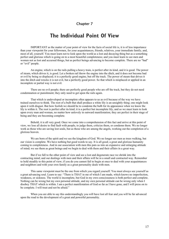### **The Individual Point Of View**

IMPORTANT as the matter of your point of view for the facts of social life is, it is of less importance than your viewpoint for your fellowmen, for your acquaintances, friends, relatives, your immediate family, and, most of all, yourself. You must learn not to look upon the world as a lost and decaying thing but as a something perfect and glorious which is going on to a most beautiful completeness; and you must learn to see men and women not as lost and accursed things, but as perfect beings advancing to become complete. There are no "bad" or "evil" people.

An engine, which is on the rails pulling a heavy train, is perfect after its kind, and it is good. The power of steam, which drives it, is good. Let a broken rail throw the engine into the ditch, and it does not become bad or evil by being so displaced; it is a perfectly good engine, but off the track. The power of steam that drives it into the ditch and wrecks it is not evil, but a perfectly good power. So that which is misplaced or applied in an incomplete or partial way is not evil.

There are no evil people; there are perfectly good people who are off the track, but they do not need condemnation or punishment; they only need to get upon the rails again.

That which is undeveloped or incomplete often appears to us as evil because of the way we have trained ourselves to think. The root of a bulb that shall produce a white lily is an unsightly thing; one might look upon it with disgust. But how foolish we should be to condemn the bulb for its appearance when we know the lily is within it. The root is perfect after its kind; it is a perfect but incomplete lily, and so we must learn to look upon every man and woman, no matter how unlovely in outward manifestation; they are perfect in their stage of being and they are becoming complete.

Behold, it is all very good. Once we come into a comprehension of this fact and arrive at this point of view, we lose all desire to find fault with people, to judge them, criticize them, or condemn them. We no longer work as those who are saving lost souls, but as those who are among the angels, working out the completion of a glorious heaven.

We are born of the spirit and we see the kingdom of God. We no longer see men as trees walking, but our vision is complete. We have nothing but good words to say. It is all good; a great and glorious humanity coming to completeness. And in our association with men this puts us into an expansive and enlarging attitude of mind; we see them as great beings and we begin to deal with them and their affairs in a great way.

But if we fall to the other point of view and see a lost and degenerate race we shrink into the contracting mind; and our dealings with men and their affairs will be in a small and contracted way. Remember to hold steadily to this point of view; if you do you cannot fail to begin at once to deal with your acquaintances and neighbors and with your own family as a great personality deals with men.

This same viewpoint must be the one from which you regard yourself. You must always see yourself as a great advancing soul. Learn to say: "There is THAT in me of which I am made, which knows no imperfection, weakness, or sickness. The world is incomplete, but God in my own consciousness is both perfect and complete. Nothing can be wrong but my own personal attitude, and my own personal attitude can be wrong only when I disobey THAT which is within. I am a perfect manifestation of God so far as I have gone, and I will press on to be complete. I will trust and not be afraid."

When you are able to say this understandingly you will have lost all fear and you will be far advanced upon the road to the development of a great and powerful personality.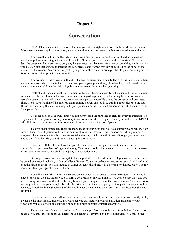### **Consecration**

HAVING attained to the viewpoint that puts you into the right relations with the world and with your fellowmen, the next step is consecration; and consecration in its true sense simply means obedience to the soul.

You have that within you that which is always impelling you toward the upward and advancing way; and that impelling something is the divine Principle of Power; you must obey it without question. No one will deny the statement that if you are to be great, the greatness must be a manifestation of something within; nor can you question that this something must be the very greatest and highest that is within. It is not the mind, or the intellect, or the reason. You cannot be great if you go no farther back for principle than to your reasoning power. Reason knows neither principle nor morality.

Your reason is like a lawyer in that it will argue for either side. The intellect of a thief will plan robbery and murder as readily as the intellect of a saint will plan a great philanthropy. Intellect helps us to see the best means and manner of doing the right thing, but intellect never shows us the right thing.

Intellect and reason serve the selfish man for his selfish ends as readily as they serve the unselfish man for his unselfish ends. Use intellect and reason without regard to principle, and you may become known as a very able person, but you will never become known as a person whose life shows the power of real greatness. There is too much training of the intellect and reasoning powers and too little training in obedience to the soul. This is the only thing that can be wrong with your personal attitude—when it fails to be one of obedience to the Principle of Power.

By going back to your own center you can always find the pure idea of right for every relationship. To be great and to have power it is only necessary to conform your life to the pure idea as you find it in the GREAT WITHIN. Every compromise on this point is made at the expense of a loss of power.

This you must remember. There are many ideas in your mind that you have outgrown, and which, from force of habit you still permit to dictate the actions of your life. Cease all this; abandon everything you have outgrown. There are many ignoble customs, social and other, which you still follow, although you know they tend to dwarf and belittle you and keep you acting in a small way.

Rise above all this. I do not say that you should absolutely disregard conventionalities, or the commonly accepted standards of right and wrong. You cannot do this; but you can deliver your soul from most of the narrow restrictions that bind the majority of your fellowmen.

Do not give your time and strength to the support of obsolete institutions, religious or otherwise; do not be bound by creeds in which you do not believe. Be free. You have perhaps formed some sensual habits of mind or body; abandon them. You still indulge in distrustful fears that things will go wrong, or that people will betray you, or mistreat you; get above all of them.

You still act selfishly in many ways and on many occasions; cease to do so. Abandon all these, and in place of them put the best actions you can form a conception of in your mind. If you desire to advance, and you are not doing so, remember that it can be only because your thought is better than your practice. You must do as well as you think. Let your thoughts be ruled by principle, and then live up to your thoughts. Let your attitude in business, in politics, in neighborhood affairs, and in your own home be the expression of the best thoughts you can think.

Let your manner toward all men and women, great and small, and especially to your own family circle, always be the most kindly, gracious, and courteous you can picture in your imagination. Remember your viewpoint; you are a god in the company of gods and must conduct yourself accordingly.

The steps to complete consecration are few and simple. You cannot be ruled from below if you are to be great; you must rule from above. Therefore you cannot be governed by physical impulses; you must bring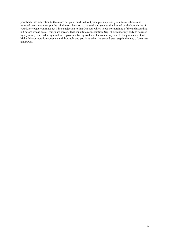your body into subjection to the mind; but your mind, without principle, may lead you into selfishness and immoral ways; you must put the mind into subjection to the soul, and your soul is limited by the boundaries of your knowledge; you must put it into subjection to that Our soul which needs no searching of the understanding but before whose eye all things are spread. That constitutes consecration. Say: "I surrender my body to be ruled by my mind; I surrender my mind to be governed by my soul, and I surrender my soul to the guidance of God." Make this consecration complete and thorough, and you have taken the second great step in the way of greatness and power.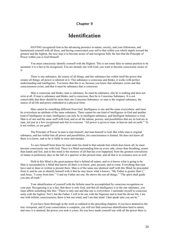### **Identification**

HAVING recognized God as the advancing presence in nature, society, and your fellowmen, and harmonized yourself with all these, and having consecrated your self to that within you which impels toward the greatest and the highest, the next step is to become aware of and recognize fully the fact that the Principle of Power within you is God Himself.

You must consciously identify yourself with the Highest. This is not some false or untrue position to be assumed; it is a fact to be recognized. You are already one with God; you want to become consciously aware of it.

There is one substance, the source of all things, and this substance has within itself the power that creates all things; all power is inherent in it. This substance is conscious and thinks; it works with perfect understanding and intelligence. You know that this is so, because you know that substance exists and that consciousness exists; and that it must be substance that is conscious.

Man is conscious and thinks; man is substance, he must be substance, else he is nothing and does not exist at all. If man is substance and thinks, and is conscious, then he is Conscious Substance. It is not conceivable that there should be more than one Conscious Substance; so man is the original substance, the source of all life and power embodied in a physical form.

Man cannot be something different from God. Intelligence is one and the same everywhere, and must be everywhere an attribute of the same substance. There cannot be one kind of intelligence in God and another kind of intelligence in man; intelligence can only be in intelligent substance, and Intelligent Substance is God. Man is of one and the same stuff with God, and so all the talents, powers, and possibilities that are in God are in man, not just in a few exceptional men but in everyone. "All power is given to man, in heaven and on earth." "Is it not written, ye are gods?"

The Principle of Power in man is man himself, and man himself is God. But while man is original substance, and has within him all power and possibilities, his consciousness is limited. He does not know all there is to know, and so he is liable to error and mistake.

To save himself from these he must unite his mind to that outside him which does know all; he must become consciously one with God. There is a Mind surrounding him on every side, closer than breathing, nearer than hands and feet, and in this mind is the memory of all that has ever happened, from the greatest convulsions of nature in prehistoric days to the fall of a sparrow in this present time; and all that is in existence now as well.

Held in this Mind is the great purpose that is behind all nature, and so it knows what is going to be. Man is surrounded by a Mind that knows all there is to know, past, present, and to come. Everything that men have said or done or written is present there. Man is of the same one identical stuff with this Mind; he proceeded from it; and he can so identify himself with it that he may know what it knows. "My Father is greater than I," said Jesus, "I come from him." "I and my Father are one. He shows the son all things." "The spirit shall guide you into all truth."

Your identification of yourself with the Infinite must be accomplished by conscious recognition on your part. Recognizing it as a fact, that there is only God, and that all intelligence is in the one substance, you must affirm something like this: "There is only one and that one is everywhere. I surrender myself to conscious unity with the highest. Not I, but the Father. I will to be one with the Supreme and to lead the divine life. I am one with infinite consciousness; there is but one mind, and I am that mind. I that speak unto you am he."

If you have been thorough in the work as outlined in the preceding chapters; if you have attained to the true viewpoint, and if your consecration is complete, you will not find conscious identification hard to attain; and once it is attained, the power you seek is yours, for you have made yourself one with all the power there is.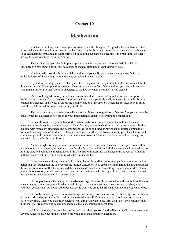### **Idealization**

YOU are a thinking center in original substance, and the thoughts of original substance have creative power; whatever is formed in its thought and held as a thought-form must come into existence as a visible and so-called material form, and a thought-form held in thinking substance is a reality; it is a real thing, whether it has yet become visible to mortal eye or not.

This is a fact that you should impress upon your understanding-that a thought held in thinking substance is a real thing; a form, and has actual existence, although it is not visible to you.

You internally take the form in which you think of your self; and you surround yourself with the invisible forms of those things with which you associate in your thoughts.

If you desire a thing, picture it clearly and hold the picture steadily in mind until it becomes a definite thought-form; and if your practices are not such as to separate you from God, the thing you want will come to you in material form. It must do so in obedience to the law by which the universe was created.

Make no thought-form of yourself in connection with disease or sickness, but form a conception of health. Make a thought-form of yourself as strong and hearty and perfectly well; impress this thought-form on creative intelligence, and if your practices are not in violation of the laws by which the physical body is built, your thought-form will become manifest in your flesh.

This also is certain; it comes by obedience to law. Make a thought-form of yourself, as you desire to be, and set your ideal as near to perfection as your imagination is capable of forming the conception.

Let me illustrate: If a young law student wishes to become great, let him picture himself (while attending to the viewpoint, consecration, an d identification, as previously directed) as a great lawyer, pleading his case with matchless eloquence and power before the judge and jury; as having an unlimited command of truth, of knowledge and of wisdom. Let him picture himself as the great lawyer in every possible situation and contingency; while he is still only the student in all circumstances let him never forget or fail to be the great lawyer in his thought-form of himself.

As the thought-form grows more definite and habitual in his mind, the creative energies, both within and without, are set at work, he begins to manifest the form from within and all the essentials without, which go into the picture, begin to be impelled toward him. He makes himself into the image and God works with him; nothing can prevent him from becoming what hem wishes to be.

In the same general way the musical student pictures himself as performing perfect harmonies, and as delighting vast audiences; the actor forms the highest conception he is capable of in regard to his art, and applies this conception to himself. The farmer and the mechanic do exactly the same thing. Fix upon your ideal of what you wish to make of yourself; consider well and be sure that you make the right choice; that is, the one that will be the most satisfactory to you in a general way.

Do not pay too much attention to the advice or suggestions of those around you: do not believe that any one can know, better than yourself, what is right for you. Listen to what others have to say, but always form your own conclusions. Do not let other people decide what you are to be. Be what you feel that you want to be.

Do not be misled by a false notion of obligation or duty. You can owe no possible obligation or duty to others that should prevent you from making the most of yourself. Be true to yourself, and you cannot then be false to any man. When you have fully decided what thing you want to be, form the highest conception of that thing that you are capable of imagining, and make that conception a thought-form.

Hold that thought-form as a fact, as the real truth about yourself, and believe in it. Close your ears to all adverse suggestions. Never mind if people call you a fool and a dreamer. Dream on.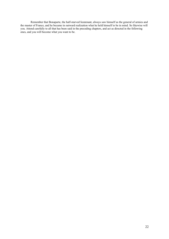Remember that Bonaparte, the half-starved lieutenant, always saw himself as the general of armies and the master of France, and he became in outward realization what he held himself to be in mind. So likewise will you. Attend carefully to all that has been said in the preceding chapters, and act as directed in the following ones, and you will become what you want to be.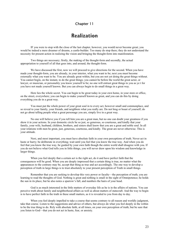### **Realization**

IF you were to stop with the close of the last chapter, however, you would never become great; you would be indeed a mere dreamer of dreams, a castle-builder. Too many do stop there; they do not understand the necessity for present action in realizing the vision and bringing the thought-form into manifestation.

Two things are necessary; firstly, the making of the thought-form and secondly, the actual appropriation to yourself of all that goes into, and around, the thought-form.

We have discussed the first, now we will proceed to give directions for the second. When you have made your thought-form, you are already, in your interior, what you want to be; next you must become externally what you want to be. You are already great within, but you are not yet doing the great things without. You cannot begin, on the instant, to do the great things; you cannot be before the world the great actor, or lawyer, or musician, or personality you know yourself to be; no one will entrust great things to you as ye t for you have not made yourself known. But you can always begin to do small things in a great way.

Here lies the whole secret. You can begin to be great today in your own home, in your store or office, on the street, everywhere; you can begin to make yourself known as great, and you can do this by doing everything you do in a great way.

You must put the whole power of your great soul in to every act, however small and commonplace, and so reveal to your family, your friends, and neighbors what you really are. Do not brag or boast of yourself; do not go about telling people what a great personage you are, simply live in a great way.

No one will believe you if you tell him you are a great man, but no one can doubt your greatness if you show it in your actions. In your domestic circle be so just, so generous, so courteous, and kindly that your family, your wife, husband, children, brothers, and sisters shall know that you are a great and noble soul. In all your relations with men be great, just, generous, courteous, and kindly. The great are never otherwise. This is your attitude.

Next, and most important, you must have absolute faith in your own perceptions of truth. Never act in haste or hurry; be deliberate in everything; wait until you feel that you know the true way. And when you do feel that you know the true way, be guided by your own faith though the entire world shall disagree with you. If you do not believe what God tells you in little things, you will never draw upon his wisdom and knowledge in larger things.

When you feel deeply that a certain act is the right act, do it and have perfect faith that the consequences will be good. When you are deeply impressed that a certain thing is true, no matter what the appearances to the contrary may be, accept that thing as true and act accordingly. The one way to develop a perception of truth in large things is to trust absolutely to your present perception of Truth in small things.

Remember that you are seeking to develop this very power or faculty—the perception of truth; you are learning to read the thoughts of God. Nothing is great and nothing is small in the sight of Omnipotence; he holds the sun in its place, but he also notes a sparrow's fall, and numbers the hairs of your head.

God is as much interested in the little matters of everyday life as he is in the affairs of nations. You can perceive truth about family and neighborhood affairs as well as about matters of statecraft. And the way to begin is to have perfect faith in the truth in these small matters, as it is revealed to you from day to day.

When you feel deeply impelled to take a course that seems contrary to all reason and worldly judgment, take that course. Listen to the suggestions and advice of others, but always do what you feel deeply in the within to be the true thing to do. Rely with absolute faith, at all times, on your own perception of truth; but be sure that you listen to God—that you do not act in haste, fear, or anxiety.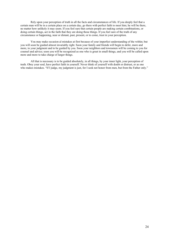Rely upon your perception of truth in all the facts and circumstances of life. If you deeply feel that a certain man will be in a certain place on a certain day, go there with perfect faith to meet him; he will be there, no matter how unlikely it may seem. If you feel sure that certain people are making certain combinations, or doing certain things, act in the faith that they are doing those things. If you feel sure of the truth of any circumstance or happening, near or distant, past, present, or to come, trust in your perception.

You may make occasion al mistakes at first because of your imperfect understanding of the within; but you will soon be guided almost invariably right. Soon your family and friends will begin to defer, more and more, to your judgment and to be guided by you. Soon your neighbors and townsmen will be coming to you for counsel and advice; soon you will be recognized as one who is great in small things, and you will be called upon more and more to take charge of larger things.

All that is necessary is to be guided absolutely, in all things, by your inner light, your perception of truth. Obey your soul, have perfect faith in yourself. Never think of yourself with doubt or distrust, or as one who makes mistakes. "If I judge, my judgment is just, for I seek not honor from men, but from the Father only."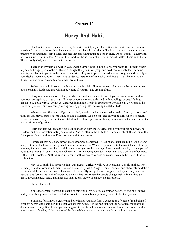### **Hurry And Habit**

NO doubt you have many problems, domestic, social, physical, and financial, which seem to you to be pressing for instant solution. You have debts that must be paid, or other obligations that must be met; you are unhappily or inharmoniously placed, and feel that something must be done at once. Do not get into a hurry and act from superficial impulses. You can trust God for the solution of all your personal riddles. There is no hurry. There is only God, and all is well with the world.

There is an invincible power in you, and the same power is in the things you want. It is bringing them to you and bringing you to them. This is a thought that you must grasp, and hold continuously that the same intelligence that is in you is in the things you desire. They are impelled toward you as strongly and decidedly as your desire impels you toward them. The tendency, therefore, of a steadily held thought must be to bring the things you desire to you and to group them around you.

So long as you hold your thought and your faith right all must go well. Nothing can be wrong but your own personal attitude, and that will not be wrong if you trust and are not afraid.

Hurry is a manifestation of fear; he who fears not has plenty of time. If you act with perfect faith in your own perceptions of truth, you will never be too late or too early; and nothing will go wrong. If things appear to be going wrong, do not get disturbed in mind; it is only in appearance. Nothing can go wrong in this world but yourself; and you can go wrong only by getting into the wrong mental attitude.

Whenever you find yourself getting excited, worried, or into the mental attitude of hurry, sit down and think it over, play a game of some kind, or take a vacation. Go on a trip, and all will be right when you return. So surely as you find yourself in the mental attitude of haste, just so surely may you know that you are out of the mental attitude of greatness.

Hurry and fear will instantly cut your connection with the universal mind; you will get no power, no wisdom, and no information until you are calm. And to fall into the attitude of hurry will check the action of the Principle of Power within you. Fear turns strength to weakness.

Remember that poise and power are inseparably associated. The calm and balanced mind is the strong and great mind; the hurried and agitated mind is the weak one. Whenever you fall into the mental state of hurry you may know that you have lost the right viewpoint; you are beginning to look upon the world, or some part of it, as going wrong. At such times read Chapter Six of this book; consider the fact that this work is perfect, now, with all that it contains. Nothing is going wrong; nothing can be wrong; be poised, be calm, be cheerful; have faith in God.

Next as to habit, it is probable that your greatest difficulty will be to overcome your old habitual ways of thought, and to form new habits. The world is ruled by habit. Kings, tyrants, masters, and plutocrats hold their positions solely because the people have come to habitually accept them. Things are as they are only because people have formed the habit of accepting them as they are. When the people change their habitual thought about governmental, social, and industrial institutions, they will change the institutions.

#### Habit rules us all.

You have formed, perhaps, the habit of thinking of yourself as a common person, as one of a limited ability, or as being more or less of a failure. Whatever you habitually think yourself to be, that you are.

You must form, now, a greater and better habit; you must form a conception of yourself as a being of limitless power, and habitually think that you are that being. It is the habitual, not the periodical thought that decides your destiny. It will avail you nothing to sit apart for a few moments several times a day to affirm that you are great, if during all the balance of the day, while you are about your regular vocation, you think of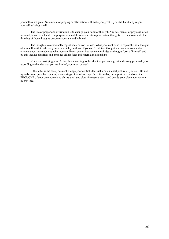yourself as not great. No amount of praying or affirmation will make you great if you still habitually regard yourself as being small.

The use of prayer and affirmation is to change your habit of thought. Any act, mental or physical, often repeated, becomes a habit. The purpose of mental exercises is to repeat certain thoughts over and over until the thinking of those thoughts becomes constant and habitual.

The thoughts we continually repeat become convictions. What you must do is to repeat the new thought of yourself until it is the only way in which you think of yourself. Habitual thought, and not environment or circumstance, has made you what you are. Every person has some central idea or thought-form of himself, and by this idea he classifies and arranges all his facts and external relationships.

You are classifying your facts either according to the idea that you are a great and strong personality, or according to the idea that you are limited, common, or weak.

If the latter is the case you must change your central idea. Get a new mental picture of yourself. Do not try to become great by repeating mere strings of words or superficial formulas; but repeat over and over the THOUGHT of your own power and ability until you classify external facts, and decide your place everywhere by this idea.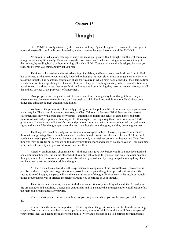# **Thought**

GREATNESS is only attained by the constant thinking of great thoughts. No man can become great in outward personality until he is great internally; and no man can be great internally until he THINKS.

No amount of education, reading, or study can make you great without thought; but thought can make you great with very little study. There are altogether too many people who are trying to make something of themselves, by reading books without thinking; all such will fail. You are not mentally developed by what you read, but by what you think about what you read.

Thinking is the hardest and most exhausting of all labor; and hence many people shrink from it. God has so formed us that we are continuously impelled to thought; we must either think or engage in some activity to escape thought. The headlong, continuous chase for pleasure in which most people spend all their leisure time is only an effort to escape thought. If they are alone, or if they have nothing amusing to take their attention, as a novel to read or a show to see, they must think; and to escape from thinking they resort to novels, shows, and all the endless devices of the purveyors of amusement.

Most people spend the greater part of their leisure time running away from thought, hence they are where they are. We never move forward until we begin to think. Read less and think more. Read about great things and think about great questions and issues.

We have at the present time few really great figures in the political life of our country; our politicians are a petty lot. There is no Lincoln, no Webster, no Clay, Calhoun, or Jackson. Why? Because our present statesmen deal only with sordid and petty issues—questions of dollars and cents, of expediency and party success, of material prosperity without regard to ethical right. Thinking along these lines does not call forth great souls. The statesmen of Lincoln's time and previous times dealt with questions of eternal truth, of human rights and justice. Men thought upon great themes; they thought great thoughts, and they became great men.

Thinking, not mere knowledge or information, makes personality. Thinking is growth; you cannot think without growing. Every thought engenders another thought. Write one idea and others will follow until you have written a page. You cannot fathom your own mind; it has neither bottom nor boundaries. Your first thoughts may be crude; but as you go on thinking you will use more and more of yourself; you will quicken new brain cells into activity and you will develop new faculties.

Heredity, environment, circumstances—all things must give way before you if you practice sustained and continuous thought. But, on the other hand, if you neglect to think for yourself and only use other people's thought, you will never know what you are capable of; and you will end by being incapable of anything. There can be no real greatness without original thought.

All that a man does outwardly is the expression and completion of his inward thinking. No action is possible without thought, and no great action is possible until a great thought has preceded it. Action is the second form of thought, and personality is the materialization of thought. Environment is the result of thought; things group themselves or arrange themselves around you according to your thought.

There is, as Emerson says, some central idea or conception of yourself by which all the facts of your life are arranged and classified. Change this central idea and you change the arrangement or classification of all the facts and circumstances of your life.

You are what you are because you thin k as you do; you are where you are because you think as you do.

You see then the immense importance of thinking about the great essentials set forth in the preceding chapters. You must not accept them in any superficial way; you must think about them until they are a part of your central idea. Go back to the matter of the point of view and consider, in all its bearings, the tremendous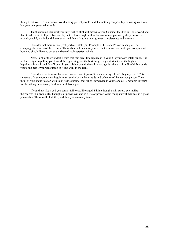thought that you live in a perfect world among perfect people, and that nothing can possibly be wrong with you but your own personal attitude.

Think about all this until you fully realize all that it means to you. Consider that this is God's world and that it is the best of all possible worlds; that he has brought it thus far toward completion by the processes of organic, social, and industrial evolution, and that it is going on to greater completeness and harmony.

Consider that there is one great, perfect, intelligent Principle of Life and Power, causing all the changing phenomena of the cosmos. Think about all this until you see that it is true, and until you comprehend how you should live and act as a citizen of such a perfect whole.

Next, think of the wonderful truth that this great Intelligence is in you; it is your own intelligence. It is an Inner Light impelling you toward the right thing and the best thing, the greatest act, and the highest happiness. It is a Principle of Power in you, giving you all the ability and genius there is. It will infallibly guide you to the best if you will submit to it and walk in the light.

Consider what is meant by your consecration of yourself when you say: "I will obey my soul." This is a sentence of tremendous meaning; it must revolutionize the attitude and behavior of the average person. Then think of your identification with this Great Supreme; that all its knowledge is yours, and all its wisdom is yours, for the asking. You are a god if you think like a god.

If you think like a god you cannot fail to act like a god. Divine thoughts will surely externalize themselves in a divine life. Thoughts of power will end in a life of power. Great thoughts will manifest in a great personality. Think well of all this, and then you are ready to act.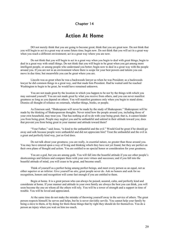### **Action At Home**

DO not merely think that you are going to become great; think that you are great now. Do not think that you will begin to act in a great way at some future time; begin now. Do not think that you will act in a great way when you reach a different environment; act in a great way where you are now.

Do not think that you will begin to act in a great way when you begin to deal with great things; begin to deal in a great way with small things. Do not think that you will begin to be great when you get among more intelligent people, or among people who understand you better; begin now to deal in a great way with the people around you. If you are not in an environment where there is scope for your best powers and talents you can move in due time; but meanwhile you can be great where you are.

Lincoln was as great when he was a backwoods lawyer as when he was President; as a backwoods lawyer he did common things in a great way, and that made him President. Had he waited until he reached Washington to begin to be great, he would have remained unknown.

You are not made great by the location in which you happen to be nor by the things with which you may surround yourself. You are not made great by what you receive from others, and you can never manifest greatness so long as you depend on others. You will manifest greatness only when you begin to stand alone. Dismiss all thought of reliance on externals, whether things, books, or people.

As Emerson said, "Shakespeare will never be made by the study of Shakespeare." Shakespeare will be made by the thinking of Shakespearean thoughts. Never mind how the people around you, including those of your own household, may treat you. That has nothing at all to do with your being great; that is, it cannot hinder you from being great. People may neglect you and be unthankful and unkind in their attitude toward you; does that prevent you from being great in your manner and attitude toward them?

"Your Father," said Jesus, "is kind to the unthankful and the evil." Would God be great if he should go away and sulk because people were unthankful and did not appreciate him? Treat the unthankful and the evil in a great and perfectly kind way, just as God does.

Do not talk about your greatness; you are really, in essential nature, no greater than those around you. You may have entered upon a way of living and thinking which they have not yet found, but they are perfect on their own plane of thought and action. You are entitled to no special honor or consideration for your greatness.

You are a god, but you are among gods. You will fall into the boastful attitude if you see other people's shortcomings and failures and compare them with your own virtues and successes; and if you fall into the boastful attitude of mind, you will cease to be great, and become small.

Think of yourself as a perfect being among perfect beings, and meet every person as an equal, not as either superior or an inferior. Give yourself no airs; great people never do. Ask no honors and seek for no recognition, honors and recognition will come fast enough if you are entitled to them.

Begin at home. It is a great person who can always be poised, assured, calm, and perfectly kind and considerate at home. If your manner and attitude in your own family are always the best you can think, you will soon become the one on whom all the others will rely. You will be a tower of strength and a support in time of trouble. You will be loved and appreciated.

At the same time do not make the mistake of throwing yourself away in the service of others. The great person respects himself; he serves and helps, but he is never slavishly servile. You cannot help your family by being a slave to them, or by doing for them those things that by right they should do for themselves. You do a person an injury when you wait on him too much.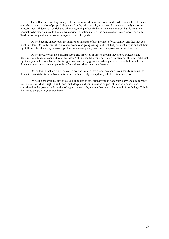The selfish and exacting are a great deal better off if their exactions are denied. The ideal world is not one where there are a lot of people being waited on by other people; it is a world where everybody waits on himself. Meet all demands, selfish and otherwise, with perfect kindness and consideration; but do not allow yourself to be made a slave to the whims, caprices, exactions, or slavish desires of any member of your family. To do so is not great, and it works an injury to the other party.

Do not become uneasy over the failures or mistakes of any member of your family, and feel that you must interfere. Do not be disturbed if others seem to be going wrong, and feel that you must step in and set them right. Remember that every person is perfect on his own plane; you cannot improve on the work of God.

Do not meddle with the personal habits and practices of others, though they are your nearest and dearest; these things are none of your business. Nothing can be wrong but your own personal attitude; make that right and you will know that all else is right. You are a truly great soul when you can live with those who do things that you do not do, and yet refrain from either criticism or interference.

Do the things that are right for you to do, and believe that every member of your family is doing the things that are right for him. Nothing is wrong with anybody or anything, behold, it is all very good.

Do not be enslaved by any one else, but be just as careful that you do not enslave any one else to your own notions of what is right. Think, and think deeply and continuously; be perfect in your kindness and consideration; let your attitude be that of a god among gods, and not that of a god among inferior beings. This is the way to be great in your own home.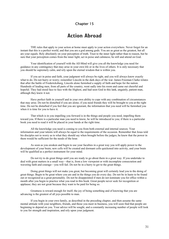### **Action Abroad**

THE rules that apply to your action at home must apply to your action everywhere. Never forget for an instant that this is a perfect world, and that you are a god among gods. You are as great as the greatest, but all are your equals. Rely absolutely on your perception of truth. Trust to the inner light rather than to reason, but be sure that your perception comes from the inner light; act in poise and calmness; be still and attend on God.

Your identification of yourself with the All-Mind will give you all the knowledge you need for guidance in any contingency that may arise in your own life or in the lives of others. It is only necessary that you should be supremely calm, and rely upon the eternal wisdom that is within you.

If you act in poise and faith, your judgment will always be right, and you will always know exactly what to do. Do not hurry or worry; remember Lincoln in the dark days of the war. James Freeman Clarke relates that after the battle of Fredericksburg, Lincoln alone furnished a supply of faith and hope for the nation. Hundreds of leading men, from all parts of the country, went sadly into his room and came out cheerful and hopeful. They had stood face to face with the Highest, and had seen God in this lank, ungainly, patient man, although they knew it not.

Have perfect faith in yourself and in your own ability to cope with any combination of circumstances that may arise. Do not be disturbed if you are alone; if you need friends they will be brought to you at the right time. Do not be disturbed if you feel that you are ignorant, the information that you need will be furnished you when it is time for you to have it.

That which is in you impelling you forward is in the things and people you need, impelling them toward you. If there is a particular man you need to know, he will be introduced to you; if there is a particular book you need to read it will be placed in your hands at the right time.

All the knowledge you need is coming to you from both external and internal sources. Your information and your talents will always be equal to the requirements of the occasion. Remember that Jesus told his disciples not to worry as to what they should say when brought before the judges; he knew that the power in them would be sufficient for the needs of the hour.

As soon as you awaken and begin to use your faculties in a great way you will apply power to the development of your brain; new cells will be created and dormant cells quickened into activity, and your brain will be qualified as a perfect instrument for your mind.

Do not try to do great things until you are ready to go about them in a great way. If you undertake to deal with great matters in a small way—that is, from a low viewpoint or with incomplete consecration and wavering faith and courage—you will fail. Do not be in a hurry to get to the great things.

Doing great things will not make you great, but becoming great will certainly lead you to the doing of great things. Begin to be great where you are and in the things you do every day. Do not be in haste to be found out or recognized as a great personality. Do not be disappointed if men do not nominate you for office within a month after you begin to practice what you read in this book. Great people never seek for recognition or applause; they are not great because they want to be paid for being so.

Greatness is reward enough for itself; the joy of being something and of knowing that you are advancing is the greatest of all joys possible to man.

If you begin in your own family, as described in the preceding chapter, and then assume the same mental attitude with your neighbors, friends, and those you meet in business, you will soon find that people are beginning to depend on you. Your advice will be sought, and a constantly increasing number of people will look to you for strength and inspiration, and rely upon your judgment.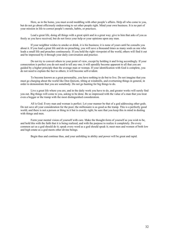Here, as in the home, you must avoid meddling with other people's affairs. Help all who come to you, but do not go about officiously endeavoring to set other people right. Mind your own business. It is no part of your mission in life to correct people's morals, habits, or practices.

Lead a great life, doing all things with a great spirit and in a great way; give to him that asks of you as freely as you have received, but do not force your help or your opinions upon any man.

If your neighbor wishes to smoke or drink, it is his business; it is none of yours until he consults you about it. If you lead a great life and do no preaching, you will save a thousand times as many souls as one who leads a small life and preaches continuously. If you hold the right viewpoint of the world, others will find it out and be impressed by it through your daily conversation and practice.

Do not try to convert others to your point of view, except by holding it and living accordingly. If your consecration is perfect you do not need to tell any one; it will speedily become apparent to all that you are guided by a higher principle than the average man or woman. If your identification with God is complete, you do not need to explain the fact to others; it will become self-evident.

To become known as a great personality, you have nothing to do but to live. Do not imagine that you must go charging about the world like Don Quixote, tilting at windmills, and overturning things in general, in order to demonstrate that you are somebody. Do not go hunting for big things to do.

Live a great life where you are, and in the daily work you have to do, and greater works will surely find you out. Big things will come to you, asking to be done. Be so impressed with the value of a man that you treat even a beggar or the tramp with the most distinguished consideration.

All is God. Every man and woman is perfect. Let your manner be that of a god addressing other gods. Do not save all your consideration for the poor; the millionaire is as good as the tramp. This is a perfectly good world, and there is not a person or thing in it but is exactly right; be sure that you keep this in mind in dealing with things and men.

Form your mental vision of yourself with care. Make the thought-form of yourself as you wish to be, and hold this with the faith that it is being realized, and with the purpose to realize it completely. Do every common act as a god should do it; speak every word as a god should speak it; meet men and women of both low and high estate as a god meets other divine beings.

Begin thus and continue thus, and your unfolding in ability and power will be great and rapid.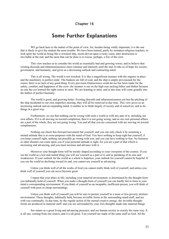### **Some Further Explanations**

WE go back here to the matter of the point of view, for, besides being vitally important, it is the one that is likely to give the student the most trouble. We have been trained, partly by mistaken religious teachers, to look upon the world as being like a wrecked ship, storm-driven upon a rocky coast; utter destruction is inevitable at the end, and the most that can be done is to rescue, perhaps, a few of the crew.

This view teaches us to consider the world as essentially bad and growing worse; and to believe that existing discords and inharmoniousness must continue and intensify until the end. It robs us of hope for society, government, and humanity, and gives us a decreasing outlook and contracting mind.

This is all wrong. The world is not wrecked. It is like a magnificent steamer with the engines in place and the machinery in perfect order. The bunkers are full of coal, and the ship is amply provisioned for the cruise; there is no lack of any good thing. Every provision Omniscience could devise has been made for the safety, comfort, and happiness of the crew; the steamer is out on the high seas tacking hither and thither because no one has yet learned the right course to steer. We are learning to steer, and in due time will come grandly into the harbor of perfect harmony.

The world is good, and growing better. Existing discords and inharmoniousness are but the pitching of the ship incidental to our own imperfect steering; they will all be removed in due time. This view gives us an increasing outlook and an expanding mind; it enables us to think largely of society and of ourselves, and to do things in a great way.

Furthermore, we see that nothing can be wrong with such a world or with any part of it, including our own affairs. If it is all moving on toward completion, then it is not going wrong; and as our own personal affairs are a part of the whole, they are not going wrong. You and all that you are concerned with are moving on toward completeness.

Nothing can check this forward movement but yourself; and you can only check it by assuming a mental attitude that is at cross-purposes with the mind of God. You have nothing to keep right but yourself; if you keep yourself right, nothing can possibly go wrong with you, and you can have nothing to fear. No business or other disaster can come upon you if your personal attitude is right, for you are a part of that which is increasing and advancing, and you must increase and advance with it.

Moreover your thought-form will be mostly shaped according to your viewpoint of the cosmos. If you see the world as a lost and ruined thing you will see yourself as a part of it, and as partaking of its sins and weaknesses. If your outlook for the world as a whole is hopeless, your outlook for yourself cannot be hopeful. If you see the world as declining toward its end, you cannot see yourself as advancing.

Unless you think well of all the works of God you cannot really think well of yourself, and unless you think well of yourself you can never become great.

I repeat that your place in life, including your material environment, is determined by the thought-form you habitually hold of yourself. When you make a thought-form of yourself you can hardly fail to form in your mind a corresponding environment. If you think of yourself as an incapable, inefficient person, you will think of yourself with poor or cheap surroundings.

Unless you think well of yourself you will be sure to picture yourself in a more or less poverty stricken environment. These thoughts, habitually held, become invisible forms in the surrounding mind-stuff, and are with you continually. In due time, by the regular action of the eternal creative energy, the invisible thoughtforms are produced in material stuff, and you are surrounded by your own thoughts made into material things.

See nature as a great living and advancing presence, and see human society in exactly the same way. It is all one, coming from one source, and it is all good. You yourself are made of the same stuff as God. All the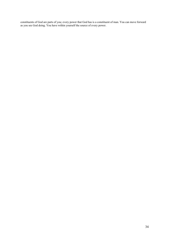constituents of God are parts of you; every power that God has is a constituent of man. You can move forward as you see God doing. You have within yourself the source of every power.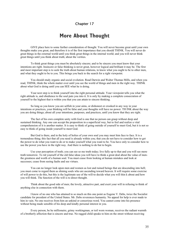### **More About Thought**

GIVE place here to some further consideration of thought. You will never become great until your own thoughts make you great, and therefore it is of the first importance that you should THINK. You will never do great things in the external world until you think great things in the internal world; and you will never think great things until you think about truth; about the verities.

To think great things you must be absolutely sincere; and to be sincere you must know that your intentions are right. Insincere or false thinking is never great, however logical and brilliant it may be. The first and most important step is to seek the truth about human relations, to know what you ought to be to other men, and what they ought to be to you. This brings you back to the search for a right viewpoint.

You should study organic and social evolution. Read Darwin and Walter Thomas Mills, and when you read, THINK; think the whole matter over until you see the world of things and men in the right way. THINK about what God is doing until you can SEE what he is doing.

Your next step is to think yourself into the right personal attitude. Your viewpoint tells you what the right attitude is, and obedience to the soul puts you into it. It is only by making a complete consecration of yourself to the highest that is within you that you can attain to sincere thinking.

So long as you know you are selfish in your aims, or dishonest or crooked in any way in your intentions or practices, your thinking will be false and your thoughts will have no power. TH INK about the way you are doing things; about all your intentions, purposes, and practices, until you know that they are right.

The fact of his own complete unity with God is one that no person can grasp without deep and sustained thinking. Any one can accept the proposition in a superficial way, but to feel and realize a vital comprehension of it is another matter. It is easy to think of going outside of yourself to meet God, but it is not so easy to think of going inside yourself to meet God.

But God is there, and in the holy of holies of your own soul you may meet him face to face. It is a tremendous thing; this fact that all you need is already within you; that you do not have to consider how to get the power to do what you want to do or to make yourself what you want to be. You have only to consider how to use the power you have in the right way. And there is nothing to do but to begin.

Use your perception of truth; you can see so me truth today; live fully up to that and you will see more truth tomorrow. To rid yourself of the old false ideas you will have to think a great deal about the value of menthe greatness and worth of a human soul. You must cease from looking at human mistakes and look at successes; cease from seeing faults and see virtues.

You can no longer look upon men and women as lost and ruined beings that are descending into hell; you must come to regard them as shining souls who are ascending toward heaven. It will require some exercise of will power to do this, but this is the legitimate use of the will-to decide what you will thin k about and how you will think. The function of the will is to direct thought.

Think about the good side of men; the lovely, attractive part, and exert your will in refusing to think of anything else in connection with them.

I know of no one who has attained to so much on this one point as Eugene V. Debs, twice the Socialist candidate for president of the United States. Mr. Debs reverences humanity. No appeal for help is ever made to him in vain. No one receives from him an unkind or censorious word. You cannot come into his presence without being made sensible of his deep and kindly personal interest in you.

Every person, be he millionaire, grimy workingman, or toil worn woman, receives the radiant warmth of a brotherly affection that is sincere and true. No ragged child speaks to him on the street without receiving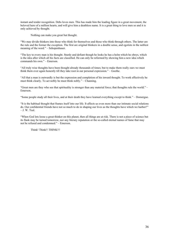instant and tender recognition. Debs loves men. This has made him the leading figure in a great movement, the beloved hero of a million hearts, and will give him a deathless name. It is a great thing to love men so and it is only achieved by thought.

Nothing can make you great but thought.

"We may divide thinkers into those who think for themselves and those who think through others. The latter are the rule and the former the exception. The first are original thinkers in a double sense, and egotists in the noblest meaning of the word." – Sehopenhauer.

"The key to every man is his thought. Sturdy and defiant though he looks he has a helm which he obeys, which is the idea after which all his facts are classified. He can only be reformed by showing him a new idea which commands his own." – Emerson.

"All truly wise thoughts have been thought already thousands of times; but to make them really ours we must think them over again honestly till they take root in our personal expression." – Goethe.

"All that a man is outwardly is but the expression and completion of his inward thought. To work effectively he must think clearly. To act nobly he must think nobly." – Channing.

"Great men are they who see that spirituality is stronger than any material force; that thoughts rule the world." – Emerson.

"Some people study all their lives, and at their death they have learned everything except to think." – Domergue.

"It is the habitual thought that frames itself into our life. It affects us even more than our intimate social relations do. Our confidential friends have not so much to do in shaping our lives as the thoughts have which we harbor?" – J. W. Teal.

"When God lets loose a great thinker on this planet, then all things are at risk. There is not a piece of science but its flank may be turned tomorrow, nor any literary reputation or the so-called eternal names of fame that may not be refused and condemned." – Emerson.

Think! Think!! THINK!!!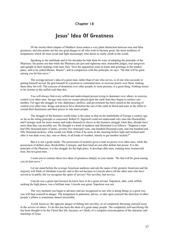# **Jesus' Idea Of Greatness**

IN the twenty-third chapter of Matthew Jesus makes a very plain distinction between true and false greatness; and also points out the one great danger to all who wish to become great; the most insidious of temptations which all must avoid and fight unceasingly who desire to really climb in the world.

Speaking to the multitude and to his disciples he bids them be ware of adopting the principle of the Pharisees. He points out that while the Pharisees are just and righteous men, honorable judges, true lawgivers and upright in their dealings with men, they "love the uppermost seats at feasts and greetings in the market place, and to be called Master, Master"; and in comparison with this principle, he says: "He that will be great among you let him serve."

The average person's idea of a great man, rather than of one who serves, is of one who succeeds in getting himself served. He gets himself in a position to command men; to exercise power over them, making them obey his will. The exercise of dominion over other people, to most persons, is a great thing. Nothing seems to be sweeter to the selfish soul than this.

You will always find every selfish and undeveloped person trying to domineer over others, to exercise control over other men. Savage men were no sooner placed upon the earth than they began to enslave one another. For ages the struggle in war, diplomacy, politics, and government has been aimed at the securing of control over other men. Kings and princes have drenched the soil of the earth in blood and tears in the effort to extend their dominions and their power to rule more people.

The struggle of the business world today is the same as that on the battlefields of Europe a century ago so far as the ruling principle is concerned. Robert O. Ingersoll could not understand why men like Rockefeller and Carnegie seek for more money and make themselves slaves to the business struggle when they already have more than they can possibly use. He thought it a kind of madness and illustrated it as follows: "Suppose a man had fifty thousand pairs of pants, seventy-five thousand vests, one hundred thousand coats, and one hundred and fifty thousand neckties, what would you think of him if he arose in the morning before light and worked until after it was dark every day, rain or shine, in all kinds of weather, merely to get another necktie?"

But it is not a good simile. The possession of neckties gives a man no power over other men, while the possession of dollars does. Rockefeller, Carnegie, and their kind are not after dollars but power. It is the principle of the Pharisee; it is the struggle for the high place. It develops able men, cunning men, resourceful men, but not great men.

I want you to contrast these two ideas of greatness sharply in your minds. "He that will be great among you let him serve."

Let me stand before the average American audience and ask the name of the greatest American and the majority will think of Abraham Lincoln; and is this not because in Lincoln above all the other men who have served us in public life we recognize the spirit of service? Not servility, but service.

Lincoln was a great man because he knew how to be a great servant. Napoleon, able, cold, selfish, seeking the high places, was a brilliant man. Lincoln was great; Napoleon was not.

The very moment you begin to advance and are recognized as one who is doing things in a great way you will find yourself in danger. The temptation to patronize, advise, or take upon yourself the direction of other people's affairs is sometimes almost irresistible.

Avoid, however, the opposite danger of falling into servility, or of completely throwing yourself away in the service of others. To do this has been the ideal of a great many people. The completely self-sacrificing life has been thought to be the Christ-like life, because, as I think, of a complete misconception of the character and teachings of Jesus.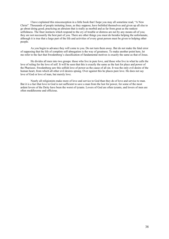I have explained this misconception in a little book that I hope you may all sometime read, "A New Christ". Thousands of people imitating Jesus, as they suppose, have belittled themselves and given up all else to go about doing good; practicing an altruism that is really as morbid and as far from great as the rankest selfishness. The finer instincts which respond to the cry of trouble or distress are not by any means all of you; they are not necessarily the best part of you. There are other things you must do besides helping the unfortunate, although it is true that a large part of the life and activities of every great person must be given to helping other people.

As you begin to advance they will come to you. Do not turn them away. But do not make the fatal error of supposing that the life of complete self-abnegation is the way of greatness. To make another point here, let me refer to the fact that Swedenborg's classification of fundamental motives is exactly the same as that of Jesus.

He divides all men into two groups: those who live in pure love, and those who live in what he calls the love of ruling for the love of self. It will be seen that this is exactly the same as the lust for place and power of the Pharisees. Swedenborg saw this selfish love of power as the cause of all sin. It was the only evil desire of the human heart, from which all other evil desires sprang. Over against this he places pure love. He does not say love of God or love of man, but merely love.

Nearly all religionists make more of love and service to God than they do of love and service to man. But it is a fact that love to God is not sufficient to save a man from the lust for power, for some of the most ardent lovers of the Deity have been the worst of tyrants. Lovers of God are often tyrants, and lovers of men are often meddlesome and officious.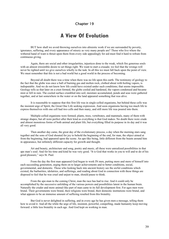### **A View Of Evolution**

BUT how shall we avoid throwing ourselves into altruistic work if we are surrounded by poverty, ignorance, suffering, and every appearance of misery as very many people are? Those who live where the withered hand of want is thrust upon them from every side appealingly for aid must find it hard to refrain from continuous giving.

Again, there are social and other irregularities, injustices done to the weak, which fire generous souls with an almost irresistible desire to set things right. We want to start a crusade; we feel that the wrongs will never be righted until we give ourselves wholly to the task. In all this we must fall back upon the point of view. We must remember that this is not a bad world but a good world in the process of becoming.

Beyond all doubt there was a time when there was no life upon this earth. The testimony of geology to the fact that the globe was once a ball of burning gas and molten rock, clothed about with boiling vapors, is indisputable. And we do not know how life could have existed under such conditions; that seems impossible. Geology tells us that later on a crust formed, the globe cooled and hardened, the vapors condensed and became mist or fell in rain. The cooled surface crumbled into soil; moisture accumulated, ponds and seas were gathered together, and at last somewhere in the water or on the land appeared something that was alive.

It is reasonable to suppose that this first life was in single-celled organisms, but behind these cells was the insistent urge of Spirit, the Great One Life seeking expression. And soon organisms having too much life to express themselves with one cell had two cells and then many, and still more life was poured into them.

Multiple-celled organisms were formed; plants, trees, vertebrates, and mammals, many of them with strange shapes, but all were perfect after their kind as everything is that God makes. No doubt there were crude and almost monstrous forms of both animal and plant life; but everything filled its purpose in its day and it was all very good.

Then another day came, the great day of the evolutionary process, a day when the morning stars sang together and the sons of God shouted for joy to behold the beginning of the end, for man, the object aimed at from the beginning, had appeared upon the scene. An ape-like being, little different from the beasts around him in appearance, but infinitely different capacity for growth and thought.

Art and beauty, architecture and song, poetry and music, all these were unrealized possibilities in that ape man's soul. And for his time and kind he was very good. "It is God that works in you to will and to do of his good pleasure," says St. Paul.

From the day the first man appeared God began to work IN men, putting more and more of himself into each succeeding generation, urging them on to larger achievements and to better conditions, social, governmental, and domestic. Those who looking back into ancient history see the awful conditions which existed, the barbarities, idolatries, and sufferings, and reading about God in connection with these things are disposed to feel that he was cruel and unjust to man, should pause to think.

From the ape-man to the coming Christ, man the race has had to rise. And it could only be accomplished by the successive unfolding of the various powers and possibilities latent in the human brain. Naturally the cruder and more animal-like part of man came to its full development first. For ages men were brutal. Their governments were brutal, their religions were brutal, their domestic institutions were brutal, and what appears to be an immense amount of suffering resulted from this brutality.

But God is never delighted in suffering, and in every age he has given men a message, telling them how to avoid it. And all the while the urge of life, insistent, powerful, compelling, made humanity keep moving forward: a little less brutality in each age. And God kept on working in man.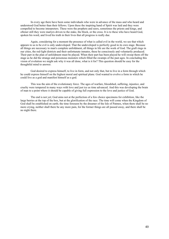In every age there have been some individuals who were in advance of the mass and who heard and understood God better than their fellows. Upon these the inspiring hand of Spirit was laid and they were compelled to become interpreters. These were the prophets and seers, sometimes the priests and kings, and oftener still they were martyrs driven to the stake, the block, or the cross. It is to these who have heard God, spoken his word, and lived his truth in their lives that all progress is really due.

Again, considering for a moment the presence of what is called evil in the world, we see that which appears to us to be evil is only undeveloped. That the undeveloped is perfectly good in its own stage. Because all things are necessary to man's complete unfoldment, all things in life are the work of God. The graft rings in our cities, the red-light districts and their unfortunate inmates, these he consciously and voluntarily produced. Their part in the plan of unfoldment must be played. When their part has been played he will sweep them off the stage as he did the strange and poisonous monsters which filled the swamps of the past ages. In concluding this vision of evolution we might ask why it was all done, what is it for? This question should be easy for the thoughtful mind to answer.

God desired to express himself, to live in form, and not only that, but to live in a form through which he could express himself on the highest moral and spiritual plane. God wanted to evolve a form in which he could live as a god and manifest himself as a god.

This was the aim of the evolutionary force. The ages of warfare, bloodshed, suffering, injustice, and cruelty were tempered in many ways with love and just ice as time advanced. And this was developing the brain of man to a point where it should be capable of giving full expression to the love and justice of God.

The end is not yet; God aims not at the perfection of a few choice specimens for exhibition, like the large berries at the top of the box, but at the glorification of the race. The time will come when the Kingdom of God shall be established on earth; the time foreseen by the dreamer of the Isle of Patmos, when there shall be no more crying, neither shall there be any more pain, for the former things are all passed away, and there shall be no night there.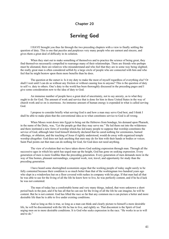# **Serving God**

I HAVE brought you thus far through the two preceding chapters with a view to finally settling the question of duty. This is one that puzzles and perplexes very many people who are earnest and sincere, and gives them a great deal of difficulty in its solution.

When they start out to make something of themselves and to practice the science of being great, they find themselves necessarily compelled to rearrange many of their relationships. There are friends who perhaps must be alienated, there are relatives who misunderstand and who feel that they are in some way being slighted; the really great man is often considered selfish by a large circle of people who are connected with him and who feel that he might bestow upon them more benefits than he does.

The question at the outset is: Is it my duty to make the most of myself regardless of everything else? Or shall I wait until I can do so without any friction or without causing loss to anyone? This is the question of duty to self vs. duty to others. One's duty to the world has been thoroughly discussed in the preceding pages and I give some consideration now to the idea of duty to God.

An immense number of people have a great deal of uncertainty, not to say anxiety, as to what they ought to do for God. The amount of work and service that is done for him in these United States in the way of church work and so on is enormous. An immense amount of human energy is expended in what is called serving God.

I propose to consider briefly what serving God is and how a man may serve God best, and I think I shall be able to make plain that the conventional idea as to what constitutes service to God is all wrong.

When Moses went down into Egypt to bring out the Hebrews from bondage, his demand upon Pharaoh, in the name of the Deity, was, "Let the people go that they may serve me." He led them out into the wilderness and there instituted a new form of worship which has led many people to suppose that worship constitutes the service of God, although later God himself distinctly declared that he cared nothing for ceremonies, burned offerings, or oblation, and the teaching of Jesus if rightly understood, would do away with organized temple worship altogether. God does not lack anything that men may do for him with their hands or bodies or voices. Saint Paul points out that man can do nothing for God, for God does not need anything.

The view of evolution that we have taken shows God seeking expression through man. Through all the successive ages in which his spirit has urged man up the height, God has gone on seeking expression. Every generation of men is more Godlike than the preceding generation. Every generation of men demands more in the way of fine homes, pleasant surroundings, congenial work, rest, travel, and opportunity for study than the preceding generation.

I have heard some shortsighted economists argue that the working people of today ought surely to be fully contented because their condition is so much better than that of the workingman two hundred years ago who slept in a windowless hut on a floor covered with rushes in company with his pigs. If that man had all that he was able to use for the living of all the life he knew how to live, he was perfectly content, and if he ha d lack he was not contented.

The man of today has a comfortable home and very many things, indeed, that were unknown a short period back in the past, and if he has all that he can use for the living of all the life he can imagine, he will be content. But he is not content. God has lifted the race so far that any common ma n can picture a better and more desirable life than he is able to live under existing conditions.

And so long as this is true, so long as a man can think and clearly picture to himself a more desirable life, he will be discontented with the life he has to live, and rightly so. That discontent is the Spirit of God urging men on to more desirable conditions. It is God who seeks expression in the race. "He works in us to will and to do."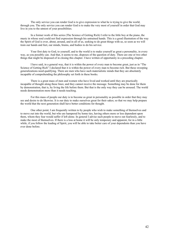The only service you can render God is to give expression to what he is trying to give the world, through you. The only service you can render God is to make the very most of yourself in order that God may live in you to the utmost of your possibilities.

In a former work of this series (The Science of Getting Rich) I refer to the little boy at the piano, the music in whose soul could not find expression through his untrained hands. This is a good illustration of the way the Spirit of God is over, about, around, and in all of us, seeking to do great things with us, so soon as we will train our hands and feet, our minds, brains, and bodies to do his service.

Your first duty to God, to yourself, and to the world is to make yourself as great a personality, in every way, as you possibly can. And that, it seems to me, disposes of the question of duty. There are one or two other things that might be disposed of in closing this chapter. I have written of opportunity in a preceding chapter.

I have said, in a general way, that it is within the power of every man to become great, just as in "The Science of Getting Rich" I declared that it is within the power of every man to become rich. But these sweeping generalizations need qualifying. There are men who have such materialistic minds that they are absolutely incapable of comprehending the philosophy set forth in these books.

There is a great mass of men and women who have lived and worked until they are practically incapable of thought along these lines; and they cannot receive the message. Something may be done for them by demonstration, that is, by living the life before them. But that is the only way they can be aroused. The world needs demonstration more than it needs teaching.

For this mass of people our duty is to become as great in personality as possible in order that they may see and desire to do likewise. It is our duty to make ourselves great for their sakes; so that we may help prepare the world that the next generation shall have better conditions for thought.

One other point; I am frequently written to by people who wish to make something of themselves and to move out into the world, but who are hampered by home ties, having others more or less dependent upon them, whom they fear would suffer if left alone. In general I advise such people to move out fearlessly, and to make the most of themselves. If there is a loss at home it will be only temporary and apparent, for in a little while, if you follow the leading of Spirit, you will be able to take better care of your dependents than you have ever done before.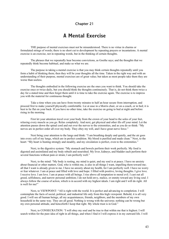### **A Mental Exercise**

THE purpose of mental exercises must not be misunderstood. There is no virtue in charms or formulated strings of words; there is no short cut to development by repeating prayers or incantations. A mental exercise is an exercise, not in repeating words, but in the thinking of certain thoughts.

The phrases that we repeatedly hear become convictions, as Goethe says; and the thoughts that we repeatedly think become habitual, and make us what we are.

The purpose in taking a mental exercise is that you may think certain thoughts repeatedly until you form a habit of thinking them; then they will be your thoughts all the time. Taken in the right way and with an understanding of their purpose, mental exercises are of great value; but taken as most people take them they are worse than useless.

The thoughts embodied in the following exercise are the ones you want to think. You should take the exercise once or twice daily, but you should think the thoughts continuously. That is, do not think them twice a day for a stated time and then forget them until it is time to take the exercise again. The exercise is to impress you with the material for continuous thought.

Take a time when you can have from twenty minutes to half an hour secure from interruption, and proceed first to make yourself physically comfortable. Lie at ease in a Morris chair, or on a couch, or in bed; it is best to lie flat on your back. If you have no other time, take the exercise on going to bed at night and before rising in the morning.

First let your attention travel over your body from the crown of your head to the soles of your feet, relaxing every muscle as you go. Relax completely. And next, get physical and other ills off your mind. Let the attention passes down the spinal cord and out over the nerves to the extremities, and as you do so think: "My nerves are in perfect order all over my body. They obey my will, and I have great nerve force."

Next bring your attention to the lungs and think: "I am breathing deeply and quietly, and the air goes into every cell of my lungs, which are in perfect condition. My blood is purified and made clean." Next, to the heart: "My heart is beating strongly and steadily, and my circulation is perfect, even to the extremities."

Next, to the digestive system: "My stomach and bowels perform their work perfectly. My food is digested and assimilated and my body rebuilt and nourished. My liver, kidneys, and bladder each perform their several functions without pain or strain; I am perfectly well."

Next, to the mind: "My body is resting, my mind is quiet, and my soul is at peace. I have no anxiety about financial or other matters. God, who is within me, is also in all things I want, impelling them toward me; all that I want is already given to me. I have no anxiety about my health, for I am perfectly well. I have no worry or fear whatever. I am at peace and filled with love and hope. I filled with positive, loving thoughts. I give love. I receive love. I am love. I am at peace with all beings. I rise above all temptation to moral evil. I cast out all greed, selfishness, and narrow personal ambition; I do not hold envy, malice, or enmity toward any living soul. I always follow the course of action, which is in accord with my highest ideals. I am right and I will do right. All is well for me!"

Next, to VIEWPOINT: "All is right with the world. It is perfect and advancing to completion. I will contemplate the facts of social, political, and industrial life only from this high viewpoint. Behold, it is all very good. I will see all human beings, all my acquaintances, friends, neighbors, and the members of my own household in the same way. They are all good. Nothing is wrong with the universe; nothing can be wrong but my own personal attitude, and henceforth I keep that right. My whole trust is in God."

Next, to CONSECRATION: "I will obey my soul and be true to that within me that is highest. I will search within for the pure idea of right in all things, and when I find it I will express it in my outward life. I will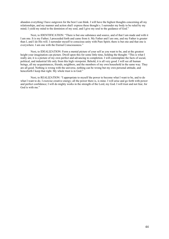abandon everything I have outgrown for the best I can think. I will have the highest thoughts concerning all my relationships, and my manner and action shal1 express these thought s. I surrender my body to be ruled by my mind; I yield my mind to the dominion of my soul, and I give my soul to the guidance of God."

Next, to IDENTIFICATION: "There is but one substance and source, and of that I am made and with it I am one. It is my Father; I proceeded forth and came from it. My Father and I are one, and my Father is greater than I, and I do His will. I surrender myself to conscious unity with Pure Spirit; there is but one and that one is everywhere. I am one with the Eternal Consciousness."

Next, to IDEALIZATION: Form a mental picture of your self as you want to be, and at the greatest height your imagination can picture. Dwell upon this for some little time, holding the thought: "This is what I really am; it is a picture of my own perfect and advancing to completion. I will contemplate the facts of social, political, and industrial life only from this high viewpoint. Behold, it is all very good. I will see all human beings, all my acquaintances, friends, neighbors, and the members of my own household in the same way. They are all good. Nothing is wrong with the universe, nothing can be wrong but my own personal attitude, and henceforth I keep that right. My whole trust is in God."

Next, to REALIZATION: "I appropriate to myself the power to become what I want to be, and to do what I want to do. I exercise creative energy; all the power there is, is mine. I will arise and go forth with power and perfect confidence; I will do mighty works in the strength of the Lord, my God. I will trust and not fear, for God is with me."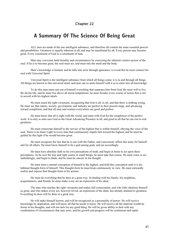# **A Summary Of The Science Of Being Great**

ALL men are made of the one intelligent substance, and therefore all contain the same essential powers and possibilities. Greatness is equally inherent in all, and may be manifested by all. Every person may become great. Every constituent of God is a constituent of man.

Man may overcome both heredity and circumstances by exercising the inherent creative power of the soul. If he is to become great, the soul must act, and must rule the mind and the body.

Man's knowledge is limited, and he falls into error through ignorance; to avoid this he must connect his soul with Universal Spirit.

Universal Spirit is the intelligent substance from which all things come; it is in and through all things. All things are known to this universal mind, and man can so unite himself with it as to enter into all knowledge.

To do this man must cast out of himself everything that separates him from God. He must will to live the divine life, and he must rise above all moral temptations; he must forsake every course of action that is not in accord with his highest ideals.

He must reach the right viewpoint, recognizing that God is all, in all, and that there is nothing wrong. He must see that nature, society, government, and industry are perfect in their present stage, and advancing toward completion; and that all men and women everywhere are good and perfect.

He must know that all is right with the world, and unite with God for the completion of the perfect work. It is only as man sees God as the Great Advancing Presence in all, and good in all that he can rise to real greatness.

He must consecrate himself to the service of the highest that is within himself, obeying the voice of the soul. There is an Inner Light in every man that continuously impels him toward the highest, and he must be guided by this light if he would become great.

He must recognize the fact that he is one with the Father, and consciously affirm this unity for himself and for all others. He must know himself to be a god among gods, and act accordingly.

He must have absolute faith in his own perceptions of truth, and begin at home to act upon these perceptions. As he sees the true and right course in small things, he must take that course. He must cease to act unthinkingly, and begin to think; and he must be sincere in his thought.

He must form a mental conception of himself at the highest, and hold this conception until it is his habitual thought-form of himself. This thought-form he must keep continuously in view. He must outwardly realize and express that thought-form in his actions.

He must do everything that he does in a great way. In dealing with his family, his neighbors, acquaintances, and friends, he must make every act an expression of his ideal.

The man who reaches the right viewpoint and makes full consecration, and who fully idealizes himself as great, and who makes every act, however trivial, an expression of the ideal, has already attained to greatness. Everything he does will be done in a great way.

He will make himself known, and will be recognized as a personality of power. He will receive knowledge by inspiration, and will know all that he needs to know. He will receive all the material wealth he forms in his thoughts, and will not lack for any good thing. He will be given ability to deal with any combination of circumstances that may arise, and his growth and progress will be continuous and rapid.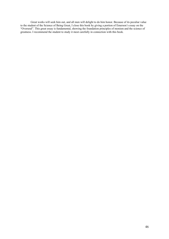Great works will seek him out, and all men will delight to do him honor. Because of its peculiar value to the student of the Science of Being Great, I close this book by giving a portion of Emerson's essay on the "Oversoul". This great essay is fundamental, showing the foundation principles of monism and the science of greatness. I recommend the student to study it most carefully in connection with this book.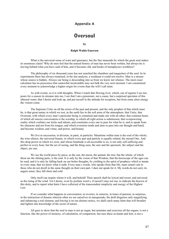#### Appendix A

### **Oversoul**

**by** 

#### **Ralph Waldo Emerson**

What is the universal sense of want and ignorance, but the fine innuendo by which the great soul makes its enormous claim? Why do men feel that the natural history of man has never been written, but always he is leaving behind what you have said of him, and it becomes old, and books of metaphysics worthless?

The philosophy of six thousand years has not searched the chambers and magazines of the soul. In its experiments there has always remained, in the last analysis, a residuum it could not resolve. Man is a stream whose source is hidden. Always our being is descending into us from we know not whence. The most exact calculator has no prescience that somewhat incalculable may not balk the very next moment. I am constrained every moment to acknowledge a higher origin for events than the will I call mine.

As with events, so it is with thoughts. When I watch that flowing river, which, out of regions I see not, pours for a season its streams into me, I see that I am a pensioner, not a cause, but a surprised spectator of this ethereal water; that I desire and look up, and put myself in the attitude for reception, but from some alien energy the visions come.

The Supreme Critic on all the errors of the past and present, and the only prophet of that which must be, is that great nature in which we rest, as the earth lies in the soft arms of the atmosphere; that Unity, that Oversoul, with which every man's particular being is contained and made one with all other; that common heart, of which all sincere conversation is the worship, to which all right action is submission; that overpowering reality which confutes our tricks and talents, and constrains every one to pass for what he is, and to speak from his character and not from his tongue; and which evermore tends and aims to pass into our thought and hand, and become wisdom, and virtue, and power, and beauty.

We live in succession, in division, in parts, in particles. Meantime within man is the soul of the whole: the wise silence; the universal beauty, to which every part and particle is equally related, the eternal One. And this deep power in which we exist, and whose beatitude is all-accessible to us, is not only self-sufficing and perfect in every hour, but the act of seeing, and the thing seen, the seer and the spectacle, the subject and the object, are one.

We see the world piece by piece, as the sun, the moon, the animal, the tree; but the whole, of which these are the shining parts, is the soul. It is only by the vision of that Wisdom, that the horoscope of the ages can be read, and it is only by falling back on our better thoughts, by yielding to the spirit of prophecy which is innate in every man, that we know what it saith. Every man s words, who speaks from that life, must sound vain to those who do not dwell in the same thought on their own part. I dare not speak for it. My words do not carry its august sense; they fall short and cold.

Only itself can inspire whom it will, and behold! Their speech shall he lyrical and sweet, and universal as the rising of the wind. Yet I desire, even by profane word s, if sacred I may not use, to indicate the heaven of this deity, and to report what hints I have collected of the transcendent simplicity and energy of the Highest Law.

If we consider what happens in conversation, in reveries, in remorse, in times of passion, in surprises, in the instruction of dreams wherein often we see ourselves in masquerade, the droll disguises only magnifying and enhancing a real element, and forcing it on our distinct notice, we shall catch many hints that will broaden and lighten into knowledge of the secret of nature.

All goes to show that the soul in man is not an organ, but animates and exercises all the organs; is not a function, like the power of memory, of calculation, of comparison, but uses these as hands and feet; is not a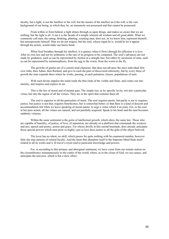faculty, but a light; is not the intellect or the will, but the master of the intellect an d the will; is the vast background of our being, in which they lie, an immensity not possessed and that cannot be possessed.

From within or from behind, a light shines through us upon things, and makes us aware that we are nothing, but the light is all. A ma n is the facade of a temple wherein all wisdom and all good abide. What we commonly call man, the eating, drinking, planting, counting man, does not, as we know him, represent himself, but misrepresents himself. Him we do not respect, but the soul, whose organ he is, would he let it appear through his action, would make our knees bend.

When Soul breathes through his intellect, it is genius; when it flows through his affection it is love. After its own law and not by arithmetic is the rate of its progress to be computed. The soul's advances are not made by gradation, such as can be represented by motion in a straight line; but rather by ascension of state, such as can be represented by metamorphosis, from the egg to the worm, from the worm to the fly.

The growths of genius are of a certain total character, that does not advance the elect individual first over John, then Adam, then Richard, and give to each the pain of discovered inferiority, but by every throe of growth the man expands there where he works, passing, at each pulsation, classes, populations of men.

With each divine impulse the mind rends the thin rinds of the visible and finite, and comes out into eternity, and inspires and expires its air.

This is the law of moral and of mental gain. The simple rise, as by specific levity, not into a particular virtue, but into the region of all the virtues. They are in the spirit that contains them all.

The soul is superior to all the particulars of merit. The soul requires purity, but purity is not it; requires justice, but justice is not that; requires beneficence, but is somewhat better; so that there is a kind of descent and accommodation felt when we leave speaking of moral nature, to urge a virtue which it en joins. For, to the soul in her pure action, all the virtues are natural, and not painfully acquired. Speak to his heart and the man becomes suddenly virtuous.

Within the same sentiment is the germ of intellectual growth, which obeys the same law. Those who are capable of humility, of justice, of love, of aspiration, are already on a platform that commands the sciences and arts, speech and poetry, action and grace. For whoso dwells in this mortal beatitude, does already anticipate those special powers which men prize so highly; just as love does justice to all the gifts of the object beloved.

The lover has no talent, no skill, which passes for quite nothing with his enamored maiden, however little she may possess of related faculty. And the heart that abandons itself to the Supreme Mind finds itself related to all its works and w ill travel a royal road to particular knowledge and powers.

For, in ascending to this primary and aboriginal sentiment, we have come from our remote station on the circumference instantaneously to the center of the world, where, as in the closet of God, we see causes, and anticipate the universe, which is but a slow effect.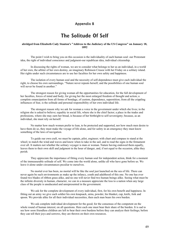#### Appendix B

### **The Solitude Of Self**

#### **abridged from Elizabeth Cady Stanton's "Address to the Judiciary of the US Congress" on January 18, 1892**

The point I wish to bring you on this occasion is the individuality of each human soul: our Protestant idea, the right of individual conscience and judgment-our republican idea, individual citizenship.

In discussing the rights of woman, we are to consider what belongs to her as an individual, in a world of her own, the arbiter of her own destiny, an imaginary Robinson Crusoe with her Friday on a solitary island. Her rights under such circumstances are to use her faculties for her own safety and happiness.

The isolation of every human soul and the necessity of self-dependence must give each individual the right, to choose his own surroundings. "Nature never repeats herself, and the possibilities of one human soul will never be found in another."

The strongest reason for giving woman all the opportunities for education, for the full development of her faculties, forces of mind and body; for giving her the most enlarged freedom of thought and action; a complete emancipation from all forms of bondage, of custom, dependence, superstition; from all the crippling influences of fear, is the solitude and personal responsibility of her own individual life.

The strongest reason why we ask for woman a voice in the government under which she lives; in the religion she is asked to believe; equality in social life, where she is the chief factor; a place in the trades and professions, where she may earn her bread, is because of her birthright to self-sovereignty; because, as an individual, she must rely on herself.

No matter how much women prefer to lean, to be protected and supported, nor how much men desire to have them do so, they must make the voyage of life alone, and for safety in an emergency they must know something of the laws of navigation.

To guide our own craft, we must be captain, pilot, engineer; with chart and compass to stand at the wheel; to match the wind and waves and know when to take in the sail, and to read the signs in the firmament over all. It matters not whether the solitary voyager is man or woman. Nature having endowed them equally, leaves them to their own skill and judgment in the hour of danger, and, if not equal to the occasion, alike they perish.

They appreciate the importance of fitting every human soul for independent action, think for a moment of the immeasurable solitude of self. We come into the world alone, unlike all who have gone before us. We leave it alone under circumstances peculiar to ourselves.

No mortal ever has been, no mortal will be like the soul just launched on the sea of life. There can never again be such environments as make up the infancy, youth and adulthood of this one. No one has ever found two blades of ribbon grass alike, and no one will never find two human beings alike. Seeing what must be the infinite diversity in human, character, we can in a measure appreciate the loss to a nation when any large class of the people is uneducated and unrepresented in the government.

We ask for the complete development of every individual, first, for his own benefit and happiness. In fitting out an army we give each soldier his own knapsack, arms, powder, his blanket, cup, knife, fork and spoon. We provide alike for all their individual necessities, then each man bears his own burden.

We ask complete individual development for the good; for the consensus of the competent on the whole round of human interest; on all questions. Here each one must bear their share of the burden. It is sad to see how soon friendless children are left to bear their own burdens before they can analyze their feelings; before they can tell their joys and sorrows, they are thrown on their own resources.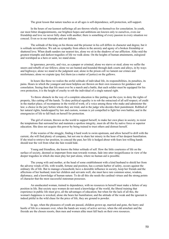The great lesson that nature teaches us at all ages is self-dependence, self-protection, self-support.

In the hours of our keenest sufferings all are thrown wholly on themselves for consolation. In youth, our most bitter disappointments, our brightest hopes and ambitions are known only to ourselves, even our friendship and love we never fully share with another; there is something of every passion in every situation we conceal. Even so in our triumphs and our defeats.

The solitude of the king on his throne and the prisoner in his cell differs in character and degree, but it is solitude nevertheless. We ask no sympathy from others in the anxiety and agony of a broken friendship or shattered love. When death sunders our nearest ties, alone we sit in the shadows of our affliction. Alike mid the greatest triumphs and darkest tragedies of life we walk alone. On the heights of human attainments, eulogized and worshiped as a hero or saint, we stand alone.

In ignorance, poverty, and vice, as a pauper or criminal, alone we starve or steal; alone we suffer the sneers and rebuffs of our fellows; alone we are hunted and hounded through dark courts and alleys, in by-ways and highways; alone we stand in the judgment seat; alone in the prison cell we lament our crimes and misfortunes; alone we expiate (pay for) them (as a matter of justice) on the gallows.

In hours like these we realize the awful solitude of individual life, its responsibilities, its penalties, its pains. Hours in which the youngest and most helpless are thrown on their own resources for guidance and consolation. Seeing then that life must ever be a march and a battle, that each soldier must be equipped for his own protection, it is the height of cruelty to rob the individual of a single natural right.

To throw obstacle in the way of a complete education is like putting out the eyes; to deny the rights of property, like cutting off the hands. To deny political equality is to rob the ostracised of all self-respect; of credit in the market place; of recompense in the world of work; of a voice among those who make and administer the law; a choice in the jury before whom they are tried, and in the judge who decides their punishment. Robbed of her natural rights, handicapped by law and custom, woman is yet compelled to fight her own battles, and in the emergencies of life to fall back on herself for protection.

The girl of sixteen, thrown on the world to support herself, to make her own place in society, to resist the temptations that surround her and maintain a spotless integrity, must do all this by native force or superior education. She does not acquire this power by being trained to trust others and distrust herself.

If she wearies of the struggle, finding it hard work to swim upstream, and allow herself to drift with the current, she will find plenty of company, but not one to share her misery in the hour of her deepest humiliation. If she tried to retrieve her position, to conceal the past, her life is hedged about with fears lest willing hands should tear the veil from what she fain would hide.

Young and friendless, she knows the bitter solitude of self. How the little courtesies of life on the surface of society, deemed so important from man towards woman, fade into utter insignificance in view of the deeper tragedies in which she must play her part alone, where no human aid is possible.

The young wife and mother, at the head of some establishment with a kind husband to shield her from the adverse winds of life, with wealth, fortune and position, has a certain harbor of safety, occurs against the ordinary ills of life. But to manage a household, have a desirable influence in society, keep her friends and the affections of her husband, train her children and servants well, she must have rare common sense, wisdom, diplomacy, and a knowledge of human nature. To do all this she needs the cardinal virtues and the strong points of character that the most successful statesman possesses.

An uneducated woman, trained to dependence, with no resources in herself must make a failure of any position in life. But society says women do not need a knowledge of the world, the liberal training that experience in public life must give, all the advantages of education; but when for the lack of all this, the woman's happiness is wrecked, alone she bears her humiliation; and the attitude of the weak and the ignorant is indeed pitiful in the wild chase for the price of life, they are ground to powder.

In age, when the pleasures of youth are passed, children grown up, married and gone, the hurry and hustle of life in a measure over, when the hands are weary of active service, when the old armchair and the fireside are the chosen resorts, then men and women alike must fall back on their own resources.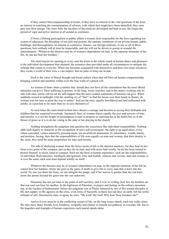If they cannot find companionship in books, if they have no interest in the vital questions of the hour, no interest in watching the consummation of reforms, with which they might have been identified, they soon pass into their dotage. The more fully the faculties of the mind are developed and kept in use, the longer the period of vigor and active interest in all around us continues.

If from a lifelong participation in public affairs a woman feels responsible for the laws regulating our system of education, the discipline of our jails and prisons, the sanitary conditions of our private homes, public buildings, and thoroughfares, an interest in commerce, finance, our foreign relations, in any or all of these questions, here solitude will at least be respectable, and she will not be driven to gossip or scandal for entertainment. "Whatever the theories may be of woman's dependence on man, in the supreme moments of her life, he can not bear her burdens."

The chief reason for opening to every soul the doors to the whole round of human duties and pleasures is the individual development thus attained, the resources thus provided under all circumstances to mitigate the solitude that comes to everyone. When one becomes acquainted with themselves and their own inner resources, they create a world of their own, a vast empire, that no jailer or king can invade.

Such is the value of liberal thought and broad culture when shut off from all human companionship, bringing comfort and sunshine within even the four walls of a prison cell.

As women of times share a similar fate, should they not have all the consolation that the most liberal education can give? Their suffering in prisons; in the long, weary marches, and in the mines, working side by side with men, surely call for all the self-support that the most exalted sentiments of heroism can give. When suddenly roused at midnight, with the startling cry of "fire!" to find the house over their heads in flames, do women wait for men to point the way to safety? And are the men, equally bewildered and half suffocated with smoke, in a position to do more than try to save themselves?

At such times the most timid women have shown a courage and heroism in saving their husbands and children that has surprised everybody. Inasmuch, then, as woman shares equally the joys and sorrows of time and eternity, is it not the height of presumption in man to propose to represent her at the ballot box as at the throne of grace as it is to do her voting in the state or her praying in the church.

Nothing strengthens the judgment and quickens the conscience like individual responsibility. Nothing adds such dignity to character as the recognition of one's self-sovereignty; the right to an equal place, every where conceded; a place earned by personal merit, not an artificial attainment, by inheritance, wealth, family, and position. Seeing, then that the responsibilities of life rests equally on man and woman, that their destiny is the same, they need the same preparation for time and eternity.

The talk of sheltering woman from the fierce sterns of life is the sheerest mockery, for they beat on her from every point of the compass, just as they do on man, and with more fatal results, for he has been trained to protect himself, to resist, (and) to conquer. Such are the facts in human experience, such are the responsibilities of individual. Rich and poor, intelligent and ignorant, wise and foolish, virtuous and vicious, man and woman, it is ever the same, each soul must depend wholly on itself.

Whatever the theories may be of woman's dependence on man, in the supreme moments of her life he cannot bear her burdens. Alone she goes to the gates of death to give life to every man that is born into the world. No one can share her fears, on one mitigate her pangs; and if her sorrow is greater than she can bear, alone she passes beyond the gates into the vast unknown.

Humanity has not yet risen to the point of self-sacrifice, and if ever so willing, how few the burdens are that one soul can bear for another. In the highways of Palestine; in prayer and fasting on the solitary mountain top; in the Garden of Gethsemane; before the judgment seat of Pilate; betrayed by one of His trusted disciples at His last supper; in His agonies on the cross, even Jesus of Nazareth, in these last sad days on earth, felt the awful solitude of self. Deserted by man, in agony he cries, "My God! My God! Why hast Thou forsaken me?"

And so it ever must be in the conflicting scenes of life, on the long weary march, each one walks alone. We may have many friends, love, kindness, sympathy and charity to smooth our pathway in everyday life, but in the tragedies and triumphs of human experience each mortal stands alone.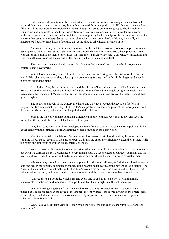But when all artificial trammels (obstacles) are removed, and women are recognized as individuals, responsible for their own environments, thoroughly educated for all the positions in life they may be called to fill; with all the resources in themselves that liberal though and broad culture can give; guided by their own conscience and judgment; trained to self-protection by a healthy development of the muscular system and skill in the use of weapons of defense, and stimulated to self-support by the knowledge of the business world and the pleasure that pecuniary independence must ever give; when women are trained in this way they will, in a measure, be fitted for those hours of solitude that come alike to all, whether prepared or not.

As in our extremity we must depend on ourselves, the dictates of wisdom point of complete individual development. When women show their heroism, what especial school of training could have prepared these women for this sublime moment of their lives? In such times, humanity rises above all college curriculums and recognizes that nature is the greatest of all teachers in the hour of danger and death.

The truth is women are already the equals of men in the whole of ream of thought, in art, science, literature, and government.

With telescopic vision, they explore the starry firmament, and bring back the history of the planetary world. With chart and compass, they pilot ships across the mighty deep, and with skillful finger send electric messages around the globe.

In galleries of art, the beauties of nature and the virtues of humanity are immortalized by them on their canvas and by their inspired touch dull blocks of marble are transformed into angels of light. In music they speak again the language of Mendelssohn, Beethoven, Chopin, Schumann, and are worthy interpreters of their great thoughts.

The poetry and novels of the century are theirs, and they have touched the keynote of reform in religion, politics, and social life. They fill the editor's and professor's chair, and plead at the bar of justice, walk the wards of the hospital, and speak from the pulpit and the platform.

Such is the type of womanhood that an enlightened public sentiment welcomes today, and such the triumph of the facts of life over the false theories of the past.

Is it, then, consistent to hold the developed woman of this day within the same narrow political limits as the dame with the spinning wheel and knitting needle occupied in the past? No! no!

Machinery has taken the labors of woman as well as man on its tireless shoulders; the loom and the spinning wheel are but dreams of the past; the pen, the brush, the easel, the chisel, have taken their places, while the hopes and ambitions of women are essentially changed.

We see reason sufficient in the outer conditions of human being for individual liberty and development, but when we consider the self dependence of every human soul, we see the need of courage, judgment, and the exercise of every faculty of mind and body, strengthened and developed by use, in woman as well as man.

Whatever may be said of man's protecting power in ordinary conditions, mid all the terrible disasters by land and sea, in the supreme moments of danger, alone, woman must ever meet the horrors of the situation. The Angel of Death makes no royal pathway for her. Man's love enters only into the sunshine of our lives. In that solemn solitude of self, that links us with the immeasurable and the eternal, each soul lives alone forever.

And yet, there is a solitude, which each and every one of us has always carried with him, more inaccessible than the ice-cold mountains, more profound than the midnight sea; the solitude of self.

Our inner being (Higher Self), which we call ourself, no eye nor touch of man or angel has ever pierced. It is more hidden than the caves of the gnome (ancient wizards); the sacred asylum of the oracle (seers of the future); the hidden chamber of eleusinian (heavenly) mystery, for to it only omniscience is permitted to enter. Such is individual life.

Who, I ask you, can take, dare take, on himself the rights, the duties, the responsibilities of another human soul?